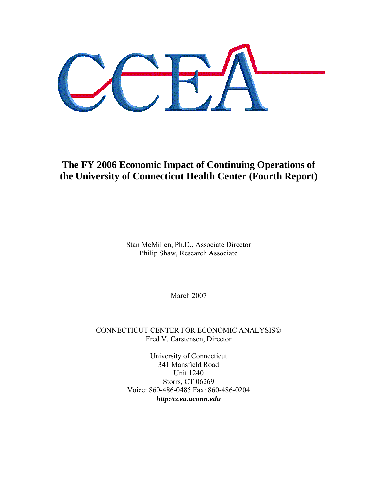# **The FY 2006 Economic Impact of Continuing Operations of the University of Connecticut Health Center (Fourth Report)**

Stan McMillen, Ph.D., Associate Director Philip Shaw, Research Associate

March 2007

CONNECTICUT CENTER FOR ECONOMIC ANALYSIS© Fred V. Carstensen, Director

> University of Connecticut 341 Mansfield Road Unit 1240 Storrs, CT 06269 Voice: 860-486-0485 Fax: 860-486-0204 *http:/ccea.uconn.edu*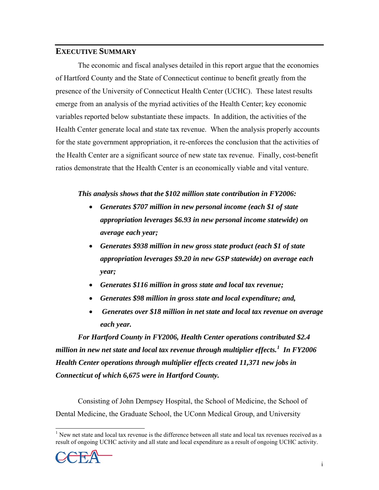# **EXECUTIVE SUMMARY**

 The economic and fiscal analyses detailed in this report argue that the economies of Hartford County and the State of Connecticut continue to benefit greatly from the presence of the University of Connecticut Health Center (UCHC). These latest results emerge from an analysis of the myriad activities of the Health Center; key economic variables reported below substantiate these impacts. In addition, the activities of the Health Center generate local and state tax revenue. When the analysis properly accounts for the state government appropriation, it re-enforces the conclusion that the activities of the Health Center are a significant source of new state tax revenue. Finally, cost-benefit ratios demonstrate that the Health Center is an economically viable and vital venture.

# *This analysis shows that the \$102 million state contribution in FY2006:*

- *Generates \$707 million in new personal income (each \$1 of state appropriation leverages \$6.93 in new personal income statewide) on average each year;*
- *Generates \$938 million in new gross state product (each \$1 of state appropriation leverages \$9.20 in new GSP statewide) on average each year;*
- *Generates \$116 million in gross state and local tax revenue;*
- *Generates \$98 million in gross state and local expenditure; and,*
- • *Generates over \$18 million in net state and local tax revenue on average each year.*

*For Hartford County in FY2006, Health Center operations contributed \$2.4 million in new net state and local tax revenue through multiplier effects.[1](#page-1-0) In FY2006 Health Center operations through multiplier effects created 11,371 new jobs in Connecticut of which 6,675 were in Hartford County.*

Consisting of John Dempsey Hospital, the School of Medicine, the School of Dental Medicine, the Graduate School, the UConn Medical Group, and University

<span id="page-1-0"></span><sup>&</sup>lt;sup>1</sup> New net state and local tax revenue is the difference between all state and local tax revenues received as a result of ongoing UCHC activity and all state and local expenditure as a result of ongoing UCHC activity.

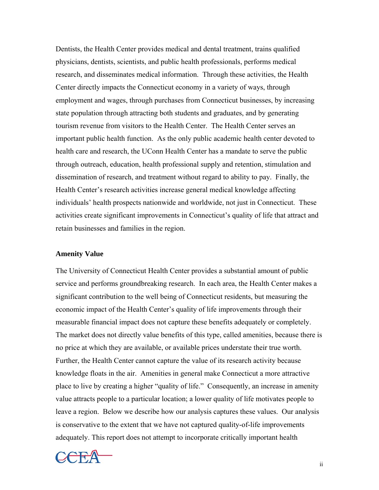Dentists, the Health Center provides medical and dental treatment, trains qualified physicians, dentists, scientists, and public health professionals, performs medical research, and disseminates medical information. Through these activities, the Health Center directly impacts the Connecticut economy in a variety of ways, through employment and wages, through purchases from Connecticut businesses, by increasing state population through attracting both students and graduates, and by generating tourism revenue from visitors to the Health Center. The Health Center serves an important public health function. As the only public academic health center devoted to health care and research, the UConn Health Center has a mandate to serve the public through outreach, education, health professional supply and retention, stimulation and dissemination of research, and treatment without regard to ability to pay. Finally, the Health Center's research activities increase general medical knowledge affecting individuals' health prospects nationwide and worldwide, not just in Connecticut. These activities create significant improvements in Connecticut's quality of life that attract and retain businesses and families in the region.

## **Amenity Value**

The University of Connecticut Health Center provides a substantial amount of public service and performs groundbreaking research. In each area, the Health Center makes a significant contribution to the well being of Connecticut residents, but measuring the economic impact of the Health Center's quality of life improvements through their measurable financial impact does not capture these benefits adequately or completely. The market does not directly value benefits of this type, called amenities, because there is no price at which they are available, or available prices understate their true worth. Further, the Health Center cannot capture the value of its research activity because knowledge floats in the air. Amenities in general make Connecticut a more attractive place to live by creating a higher "quality of life." Consequently, an increase in amenity value attracts people to a particular location; a lower quality of life motivates people to leave a region. Below we describe how our analysis captures these values. Our analysis is conservative to the extent that we have not captured quality-of-life improvements adequately. This report does not attempt to incorporate critically important health

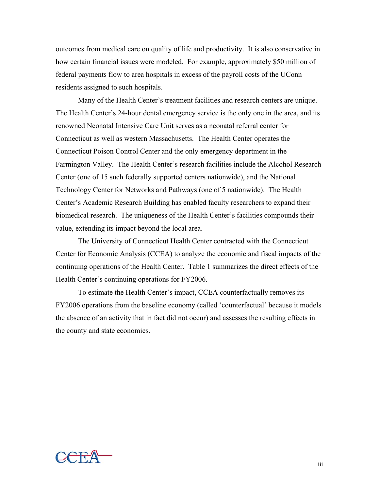outcomes from medical care on quality of life and productivity. It is also conservative in how certain financial issues were modeled. For example, approximately \$50 million of federal payments flow to area hospitals in excess of the payroll costs of the UConn residents assigned to such hospitals.

 Many of the Health Center's treatment facilities and research centers are unique. The Health Center's 24-hour dental emergency service is the only one in the area, and its renowned Neonatal Intensive Care Unit serves as a neonatal referral center for Connecticut as well as western Massachusetts. The Health Center operates the Connecticut Poison Control Center and the only emergency department in the Farmington Valley. The Health Center's research facilities include the Alcohol Research Center (one of 15 such federally supported centers nationwide), and the National Technology Center for Networks and Pathways (one of 5 nationwide). The Health Center's Academic Research Building has enabled faculty researchers to expand their biomedical research. The uniqueness of the Health Center's facilities compounds their value, extending its impact beyond the local area.

The University of Connecticut Health Center contracted with the Connecticut Center for Economic Analysis (CCEA) to analyze the economic and fiscal impacts of the continuing operations of the Health Center. Table 1 summarizes the direct effects of the Health Center's continuing operations for FY2006.

To estimate the Health Center's impact, CCEA counterfactually removes its FY2006 operations from the baseline economy (called 'counterfactual' because it models the absence of an activity that in fact did not occur) and assesses the resulting effects in the county and state economies.

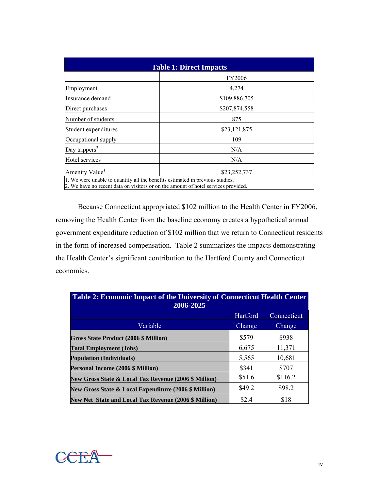| <b>Table 1: Direct Impacts</b>                                                     |               |  |  |  |  |
|------------------------------------------------------------------------------------|---------------|--|--|--|--|
|                                                                                    | FY2006        |  |  |  |  |
| Employment                                                                         | 4,274         |  |  |  |  |
| Insurance demand                                                                   | \$109,886,705 |  |  |  |  |
| Direct purchases                                                                   | \$207,874,558 |  |  |  |  |
| Number of students                                                                 | 875           |  |  |  |  |
| Student expenditures                                                               | \$23,121,875  |  |  |  |  |
| Occupational supply                                                                | 109           |  |  |  |  |
| Day trippers <sup>2</sup>                                                          | N/A           |  |  |  |  |
| Hotel services                                                                     | N/A           |  |  |  |  |
| Amenity Value <sup>1</sup>                                                         | \$23,252,737  |  |  |  |  |
| 1. We were unable to quantify all the benefits estimated in previous studies.      |               |  |  |  |  |
| 2. We have no recent data on visitors or on the amount of hotel services provided. |               |  |  |  |  |

Because Connecticut appropriated \$102 million to the Health Center in FY2006, removing the Health Center from the baseline economy creates a hypothetical annual government expenditure reduction of \$102 million that we return to Connecticut residents in the form of increased compensation. Table 2 summarizes the impacts demonstrating the Health Center's significant contribution to the Hartford County and Connecticut economies.

| <b>Table 2: Economic Impact of the University of Connecticut Health Center</b><br>2006-2025 |          |             |  |  |  |  |
|---------------------------------------------------------------------------------------------|----------|-------------|--|--|--|--|
|                                                                                             | Hartford | Connecticut |  |  |  |  |
| Variable                                                                                    | Change   | Change      |  |  |  |  |
| <b>Gross State Product (2006 \$ Million)</b>                                                | \$579    | \$938       |  |  |  |  |
| <b>Total Employment (Jobs)</b>                                                              | 6,675    | 11,371      |  |  |  |  |
| <b>Population (Individuals)</b>                                                             | 5,565    | 10,681      |  |  |  |  |
| <b>Personal Income (2006 \$ Million)</b>                                                    | \$341    | \$707       |  |  |  |  |
| New Gross State & Local Tax Revenue (2006 \$ Million)                                       | \$51.6   | \$116.2     |  |  |  |  |
| New Gross State & Local Expenditure (2006 \$ Million)                                       | \$49.2   | \$98.2      |  |  |  |  |
| <b>New Net State and Local Tax Revenue (2006 \$ Million)</b>                                | \$2.4    | \$18        |  |  |  |  |

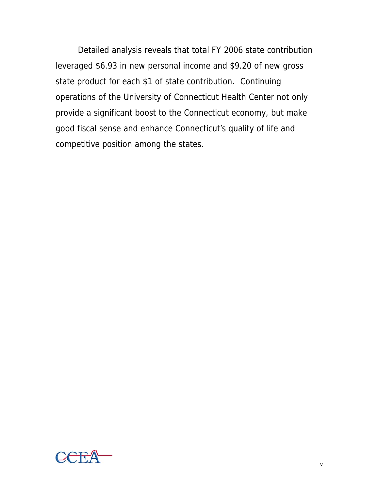Detailed analysis reveals that total FY 2006 state contribution leveraged \$6.93 in new personal income and \$9.20 of new gross state product for each \$1 of state contribution. Continuing operations of the University of Connecticut Health Center not only provide a significant boost to the Connecticut economy, but make good fiscal sense and enhance Connecticut's quality of life and competitive position among the states.

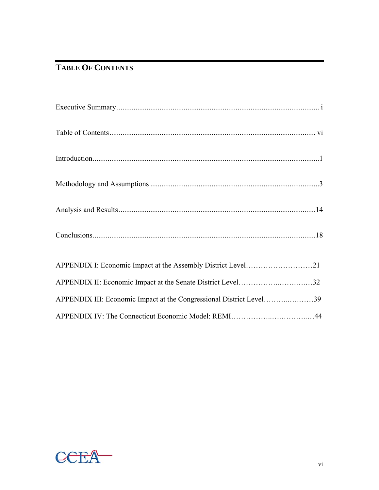# **TABLE OF CONTENTS**

| APPENDIX II: Economic Impact at the Senate District Level32         |  |
|---------------------------------------------------------------------|--|
| APPENDIX III: Economic Impact at the Congressional District Level39 |  |
|                                                                     |  |

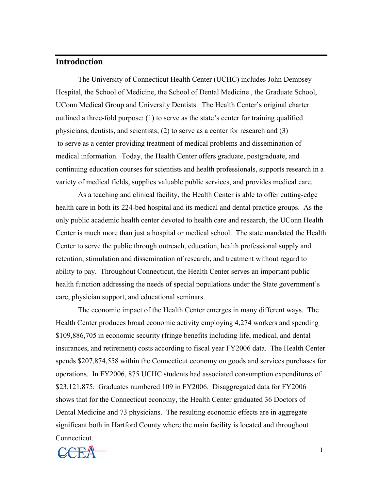# **Introduction**

 The University of Connecticut Health Center (UCHC) includes John Dempsey Hospital, the School of Medicine, the School of Dental Medicine , the Graduate School, UConn Medical Group and University Dentists. The Health Center's original charter outlined a three-fold purpose: (1) to serve as the state's center for training qualified physicians, dentists, and scientists; (2) to serve as a center for research and (3) to serve as a center providing treatment of medical problems and dissemination of medical information. Today, the Health Center offers graduate, postgraduate, and continuing education courses for scientists and health professionals, supports research in a variety of medical fields, supplies valuable public services, and provides medical care.

As a teaching and clinical facility, the Health Center is able to offer cutting-edge health care in both its 224-bed hospital and its medical and dental practice groups. As the only public academic health center devoted to health care and research, the UConn Health Center is much more than just a hospital or medical school. The state mandated the Health Center to serve the public through outreach, education, health professional supply and retention, stimulation and dissemination of research, and treatment without regard to ability to pay. Throughout Connecticut, the Health Center serves an important public health function addressing the needs of special populations under the State government's care, physician support, and educational seminars.

The economic impact of the Health Center emerges in many different ways. The Health Center produces broad economic activity employing 4,274 workers and spending \$109,886,705 in economic security (fringe benefits including life, medical, and dental insurances, and retirement) costs according to fiscal year FY2006 data. The Health Center spends \$207,874,558 within the Connecticut economy on goods and services purchases for operations. In FY2006, 875 UCHC students had associated consumption expenditures of \$23,121,875. Graduates numbered 109 in FY2006. Disaggregated data for FY2006 shows that for the Connecticut economy, the Health Center graduated 36 Doctors of Dental Medicine and 73 physicians. The resulting economic effects are in aggregate significant both in Hartford County where the main facility is located and throughout Connecticut.

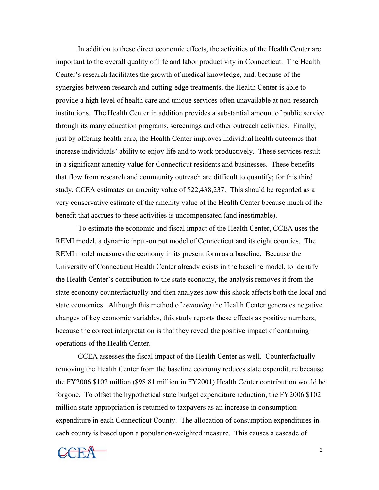In addition to these direct economic effects, the activities of the Health Center are important to the overall quality of life and labor productivity in Connecticut. The Health Center's research facilitates the growth of medical knowledge, and, because of the synergies between research and cutting-edge treatments, the Health Center is able to provide a high level of health care and unique services often unavailable at non-research institutions. The Health Center in addition provides a substantial amount of public service through its many education programs, screenings and other outreach activities. Finally, just by offering health care, the Health Center improves individual health outcomes that increase individuals' ability to enjoy life and to work productively. These services result in a significant amenity value for Connecticut residents and businesses. These benefits that flow from research and community outreach are difficult to quantify; for this third study, CCEA estimates an amenity value of \$22,438,237. This should be regarded as a very conservative estimate of the amenity value of the Health Center because much of the benefit that accrues to these activities is uncompensated (and inestimable).

 To estimate the economic and fiscal impact of the Health Center, CCEA uses the REMI model, a dynamic input-output model of Connecticut and its eight counties. The REMI model measures the economy in its present form as a baseline. Because the University of Connecticut Health Center already exists in the baseline model, to identify the Health Center's contribution to the state economy, the analysis removes it from the state economy counterfactually and then analyzes how this shock affects both the local and state economies. Although this method of *removing* the Health Center generates negative changes of key economic variables, this study reports these effects as positive numbers, because the correct interpretation is that they reveal the positive impact of continuing operations of the Health Center.

CCEA assesses the fiscal impact of the Health Center as well. Counterfactually removing the Health Center from the baseline economy reduces state expenditure because the FY2006 \$102 million (\$98.81 million in FY2001) Health Center contribution would be forgone. To offset the hypothetical state budget expenditure reduction, the FY2006 \$102 million state appropriation is returned to taxpayers as an increase in consumption expenditure in each Connecticut County. The allocation of consumption expenditures in each county is based upon a population-weighted measure. This causes a cascade of

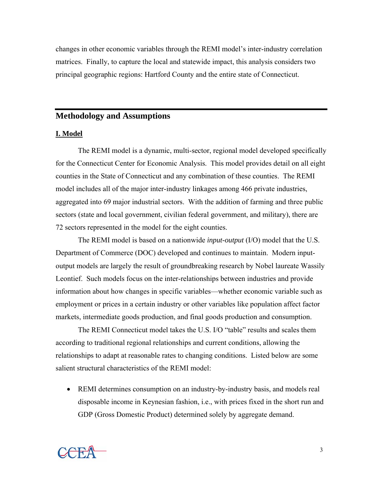changes in other economic variables through the REMI model's inter-industry correlation matrices. Finally, to capture the local and statewide impact, this analysis considers two principal geographic regions: Hartford County and the entire state of Connecticut.

# **Methodology and Assumptions**

#### **I. Model**

The REMI model is a dynamic, multi-sector, regional model developed specifically for the Connecticut Center for Economic Analysis. This model provides detail on all eight counties in the State of Connecticut and any combination of these counties. The REMI model includes all of the major inter-industry linkages among 466 private industries, aggregated into 69 major industrial sectors. With the addition of farming and three public sectors (state and local government, civilian federal government, and military), there are 72 sectors represented in the model for the eight counties.

The REMI model is based on a nationwide *input-output* (I/O) model that the U.S. Department of Commerce (DOC) developed and continues to maintain. Modern inputoutput models are largely the result of groundbreaking research by Nobel laureate Wassily Leontief. Such models focus on the inter-relationships between industries and provide information about how changes in specific variables—whether economic variable such as employment or prices in a certain industry or other variables like population affect factor markets, intermediate goods production, and final goods production and consumption.

The REMI Connecticut model takes the U.S. I/O "table" results and scales them according to traditional regional relationships and current conditions, allowing the relationships to adapt at reasonable rates to changing conditions. Listed below are some salient structural characteristics of the REMI model:

• REMI determines consumption on an industry-by-industry basis, and models real disposable income in Keynesian fashion, i.e., with prices fixed in the short run and GDP (Gross Domestic Product) determined solely by aggregate demand.

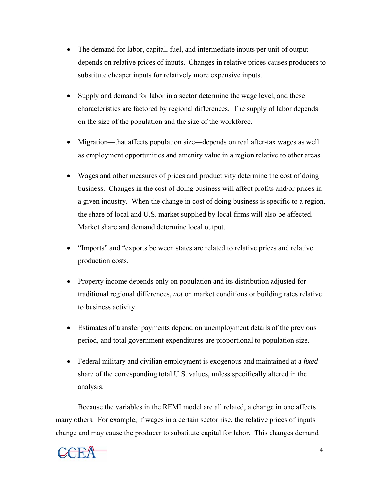- The demand for labor, capital, fuel, and intermediate inputs per unit of output depends on relative prices of inputs. Changes in relative prices causes producers to substitute cheaper inputs for relatively more expensive inputs.
- Supply and demand for labor in a sector determine the wage level, and these characteristics are factored by regional differences. The supply of labor depends on the size of the population and the size of the workforce.
- Migration—that affects population size—depends on real after-tax wages as well as employment opportunities and amenity value in a region relative to other areas.
- Wages and other measures of prices and productivity determine the cost of doing business. Changes in the cost of doing business will affect profits and/or prices in a given industry. When the change in cost of doing business is specific to a region, the share of local and U.S. market supplied by local firms will also be affected. Market share and demand determine local output.
- "Imports" and "exports between states are related to relative prices and relative production costs.
- Property income depends only on population and its distribution adjusted for traditional regional differences, *not* on market conditions or building rates relative to business activity.
- Estimates of transfer payments depend on unemployment details of the previous period, and total government expenditures are proportional to population size.
- Federal military and civilian employment is exogenous and maintained at a *fixed* share of the corresponding total U.S. values, unless specifically altered in the analysis.

Because the variables in the REMI model are all related, a change in one affects many others. For example, if wages in a certain sector rise, the relative prices of inputs change and may cause the producer to substitute capital for labor. This changes demand

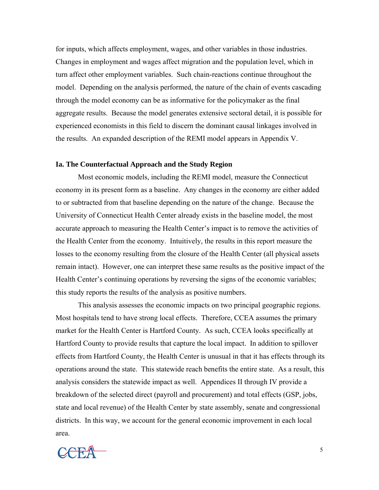for inputs, which affects employment, wages, and other variables in those industries. Changes in employment and wages affect migration and the population level, which in turn affect other employment variables. Such chain-reactions continue throughout the model. Depending on the analysis performed, the nature of the chain of events cascading through the model economy can be as informative for the policymaker as the final aggregate results. Because the model generates extensive sectoral detail, it is possible for experienced economists in this field to discern the dominant causal linkages involved in the results. An expanded description of the REMI model appears in Appendix V.

#### **Ia. The Counterfactual Approach and the Study Region**

 Most economic models, including the REMI model, measure the Connecticut economy in its present form as a baseline. Any changes in the economy are either added to or subtracted from that baseline depending on the nature of the change. Because the University of Connecticut Health Center already exists in the baseline model, the most accurate approach to measuring the Health Center's impact is to remove the activities of the Health Center from the economy. Intuitively, the results in this report measure the losses to the economy resulting from the closure of the Health Center (all physical assets remain intact). However, one can interpret these same results as the positive impact of the Health Center's continuing operations by reversing the signs of the economic variables; this study reports the results of the analysis as positive numbers.

This analysis assesses the economic impacts on two principal geographic regions. Most hospitals tend to have strong local effects. Therefore, CCEA assumes the primary market for the Health Center is Hartford County. As such, CCEA looks specifically at Hartford County to provide results that capture the local impact. In addition to spillover effects from Hartford County, the Health Center is unusual in that it has effects through its operations around the state. This statewide reach benefits the entire state. As a result, this analysis considers the statewide impact as well. Appendices II through IV provide a breakdown of the selected direct (payroll and procurement) and total effects (GSP, jobs, state and local revenue) of the Health Center by state assembly, senate and congressional districts. In this way, we account for the general economic improvement in each local area.

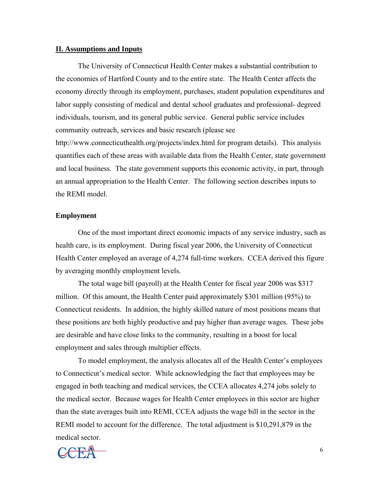## **II. Assumptions and Inputs**

The University of Connecticut Health Center makes a substantial contribution to the economies of Hartford County and to the entire state. The Health Center affects the economy directly through its employment, purchases, student population expenditures and labor supply consisting of medical and dental school graduates and professional- degreed individuals, tourism, and its general public service. General public service includes community outreach, services and basic research (please see http://www.connecticuthealth.org/projects/index.html for program details). This analysis quantifies each of these areas with available data from the Health Center, state government and local business. The state government supports this economic activity, in part, through an annual appropriation to the Health Center. The following section describes inputs to the REMI model.

## **Employment**

One of the most important direct economic impacts of any service industry, such as health care, is its employment. During fiscal year 2006, the University of Connecticut Health Center employed an average of 4,274 full-time workers. CCEA derived this figure by averaging monthly employment levels.

The total wage bill (payroll) at the Health Center for fiscal year 2006 was \$317 million. Of this amount, the Health Center paid approximately \$301 million (95%) to Connecticut residents. In addition, the highly skilled nature of most positions means that these positions are both highly productive and pay higher than average wages. These jobs are desirable and have close links to the community, resulting in a boost for local employment and sales through multiplier effects.

To model employment, the analysis allocates all of the Health Center's employees to Connecticut's medical sector. While acknowledging the fact that employees may be engaged in both teaching and medical services, the CCEA allocates 4,274 jobs solely to the medical sector. Because wages for Health Center employees in this sector are higher than the state averages built into REMI, CCEA adjusts the wage bill in the sector in the REMI model to account for the difference. The total adjustment is \$10,291,879 in the medical sector.

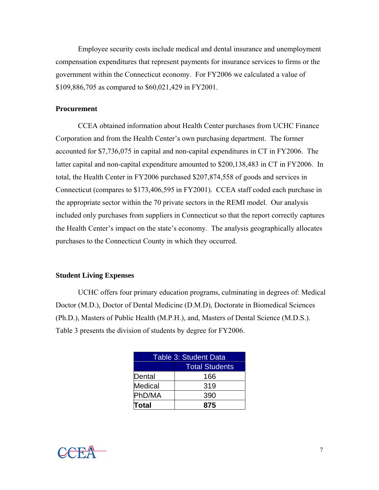Employee security costs include medical and dental insurance and unemployment compensation expenditures that represent payments for insurance services to firms or the government within the Connecticut economy. For FY2006 we calculated a value of \$109,886,705 as compared to \$60,021,429 in FY2001.

## **Procurement**

 CCEA obtained information about Health Center purchases from UCHC Finance Corporation and from the Health Center's own purchasing department. The former accounted for \$7,736,075 in capital and non-capital expenditures in CT in FY2006. The latter capital and non-capital expenditure amounted to \$200,138,483 in CT in FY2006. In total, the Health Center in FY2006 purchased \$207,874,558 of goods and services in Connecticut (compares to \$173,406,595 in FY2001). CCEA staff coded each purchase in the appropriate sector within the 70 private sectors in the REMI model. Our analysis included only purchases from suppliers in Connecticut so that the report correctly captures the Health Center's impact on the state's economy. The analysis geographically allocates purchases to the Connecticut County in which they occurred.

## **Student Living Expenses**

UCHC offers four primary education programs, culminating in degrees of: Medical Doctor (M.D.), Doctor of Dental Medicine (D.M.D), Doctorate in Biomedical Sciences (Ph.D.), Masters of Public Health (M.P.H.), and, Masters of Dental Science (M.D.S.). Table 3 presents the division of students by degree for FY2006.

| Table 3: Student Data |     |  |  |
|-----------------------|-----|--|--|
| <b>Total Students</b> |     |  |  |
| Dental                | 166 |  |  |
| <b>Medical</b>        | 319 |  |  |
| PhD/MA                | 390 |  |  |
| Total                 | 875 |  |  |

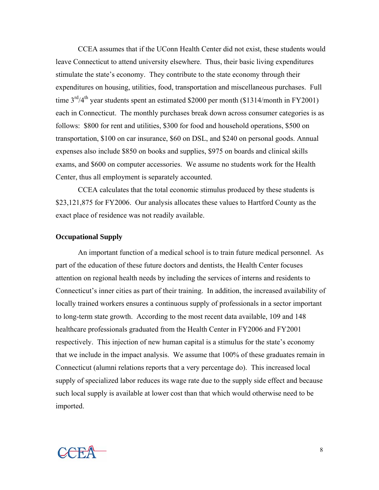CCEA assumes that if the UConn Health Center did not exist, these students would leave Connecticut to attend university elsewhere. Thus, their basic living expenditures stimulate the state's economy. They contribute to the state economy through their expenditures on housing, utilities, food, transportation and miscellaneous purchases. Full time  $3<sup>rd</sup>/4<sup>th</sup>$  year students spent an estimated \$2000 per month (\$1314/month in FY2001) each in Connecticut. The monthly purchases break down across consumer categories is as follows: \$800 for rent and utilities, \$300 for food and household operations, \$500 on transportation, \$100 on car insurance, \$60 on DSL, and \$240 on personal goods. Annual expenses also include \$850 on books and supplies, \$975 on boards and clinical skills exams, and \$600 on computer accessories. We assume no students work for the Health Center, thus all employment is separately accounted.

CCEA calculates that the total economic stimulus produced by these students is \$23,121,875 for FY2006. Our analysis allocates these values to Hartford County as the exact place of residence was not readily available.

#### **Occupational Supply**

An important function of a medical school is to train future medical personnel. As part of the education of these future doctors and dentists, the Health Center focuses attention on regional health needs by including the services of interns and residents to Connecticut's inner cities as part of their training. In addition, the increased availability of locally trained workers ensures a continuous supply of professionals in a sector important to long-term state growth. According to the most recent data available, 109 and 148 healthcare professionals graduated from the Health Center in FY2006 and FY2001 respectively. This injection of new human capital is a stimulus for the state's economy that we include in the impact analysis. We assume that 100% of these graduates remain in Connecticut (alumni relations reports that a very percentage do). This increased local supply of specialized labor reduces its wage rate due to the supply side effect and because such local supply is available at lower cost than that which would otherwise need to be imported.

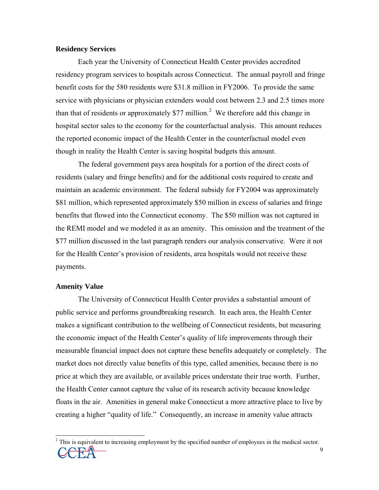# **Residency Services**

Each year the University of Connecticut Health Center provides accredited residency program services to hospitals across Connecticut. The annual payroll and fringe benefit costs for the 580 residents were \$31.8 million in FY2006. To provide the same service with physicians or physician extenders would cost between 2.3 and 2.5 times more than that of residents or approximately \$77 million.<sup>[2](#page-15-0)</sup> We therefore add this change in hospital sector sales to the economy for the counterfactual analysis. This amount reduces the reported economic impact of the Health Center in the counterfactual model even though in reality the Health Center is saving hospital budgets this amount.

The federal government pays area hospitals for a portion of the direct costs of residents (salary and fringe benefits) and for the additional costs required to create and maintain an academic environment. The federal subsidy for FY2004 was approximately \$81 million, which represented approximately \$50 million in excess of salaries and fringe benefits that flowed into the Connecticut economy. The \$50 million was not captured in the REMI model and we modeled it as an amenity. This omission and the treatment of the \$77 million discussed in the last paragraph renders our analysis conservative. Were it not for the Health Center's provision of residents, area hospitals would not receive these payments.

### **Amenity Value**

 $\overline{\phantom{a}}$ 

The University of Connecticut Health Center provides a substantial amount of public service and performs groundbreaking research. In each area, the Health Center makes a significant contribution to the wellbeing of Connecticut residents, but measuring the economic impact of the Health Center's quality of life improvements through their measurable financial impact does not capture these benefits adequately or completely. The market does not directly value benefits of this type, called amenities, because there is no price at which they are available, or available prices understate their true worth. Further, the Health Center cannot capture the value of its research activity because knowledge floats in the air. Amenities in general make Connecticut a more attractive place to live by creating a higher "quality of life." Consequently, an increase in amenity value attracts

<span id="page-15-0"></span> $\overline{O}$   $\overline{O}$   $\overline{O}$   $\overline{O}$   $\overline{O}$   $\overline{O}$   $\overline{O}$   $\overline{O}$   $\overline{O}$   $\overline{O}$   $\overline{O}$   $\overline{O}$   $\overline{O}$   $\overline{O}$   $\overline{O}$   $\overline{O}$   $\overline{O}$   $\overline{O}$   $\overline{O}$   $\overline{O}$   $\overline{O}$   $\overline{O}$   $\overline{O}$   $\overline{O}$   $\overline{$  $2^2$  This is equivalent to increasing employment by the specified number of employees in the medical sector.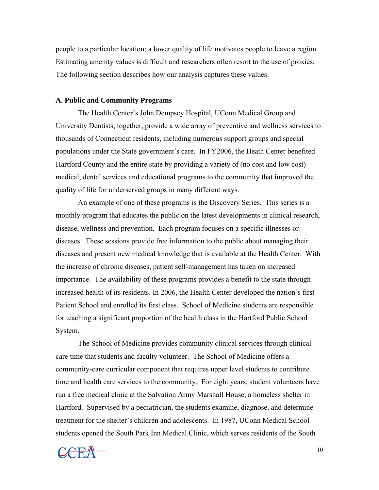people to a particular location; a lower quality of life motivates people to leave a region. Estimating amenity values is difficult and researchers often resort to the use of proxies. The following section describes how our analysis captures these values.

#### **A. Public and Community Programs**

The Health Center's John Dempsey Hospital, UConn Medical Group and University Dentists, together, provide a wide array of preventive and wellness services to thousands of Connecticut residents, including numerous support groups and special populations under the State government's care. In FY2006, the Heath Center benefited Hartford County and the entire state by providing a variety of (no cost and low cost) medical, dental services and educational programs to the community that improved the quality of life for underserved groups in many different ways.

An example of one of these programs is the Discovery Series. This series is a monthly program that educates the public on the latest developments in clinical research, disease, wellness and prevention. Each program focuses on a specific illnesses or diseases. These sessions provide free information to the public about managing their diseases and present new medical knowledge that is available at the Health Center. With the increase of chronic diseases, patient self-management has taken on increased importance. The availability of these programs provides a benefit to the state through increased health of its residents. In 2006, the Health Center developed the nation's first Patient School and enrolled its first class. School of Medicine students are responsible for teaching a significant proportion of the health class in the Hartford Public School System.

 The School of Medicine provides community clinical services through clinical care time that students and faculty volunteer. The School of Medicine offers a community-care curricular component that requires upper level students to contribute time and health care services to the community. For eight years, student volunteers have run a free medical clinic at the Salvation Army Marshall House, a homeless shelter in Hartford. Supervised by a pediatrician, the students examine, diagnose, and determine treatment for the shelter's children and adolescents. In 1987, UConn Medical School students opened the South Park Inn Medical Clinic, which serves residents of the South

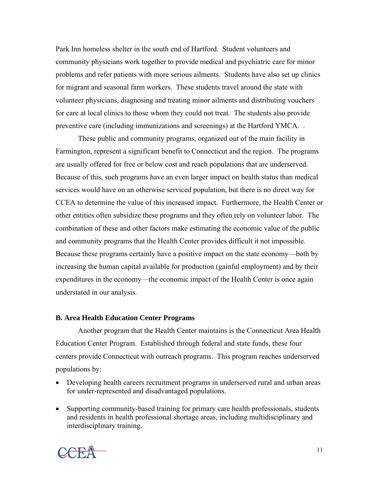Park Inn homeless shelter in the south end of Hartford. Student volunteers and community physicians work together to provide medical and psychiatric care for minor problems and refer patients with more serious ailments. Students have also set up clinics for migrant and seasonal farm workers. These students travel around the state with volunteer physicians, diagnosing and treating minor ailments and distributing vouchers for care at local clinics to those whom they could not treat. The students also provide preventive care (including immunizations and screenings) at the Hartford YMCA. .

These public and community programs, organized out of the main facility in Farmington, represent a significant benefit to Connecticut and the region. The programs are usually offered for free or below cost and reach populations that are underserved. Because of this, such programs have an even larger impact on health status than medical services would have on an otherwise serviced population, but there is no direct way for CCEA to determine the value of this increased impact. Furthermore, the Health Center or other entities often subsidize these programs and they often rely on volunteer labor. The combination of these and other factors make estimating the economic value of the public and community programs that the Health Center provides difficult it not impossible. Because these programs certainly have a positive impact on the state economy—both by increasing the human capital available for production (gainful employment) and by their expenditures in the economy—the economic impact of the Health Center is once again understated in our analysis.

# **B. Area Health Education Center Programs**

Another program that the Health Center maintains is the Connecticut Area Health Education Center Program. Established through federal and state funds, these four centers provide Connecticut with outreach programs. This program reaches underserved populations by:

- Developing health careers recruitment programs in underserved rural and urban areas for under-represented and disadvantaged populations.
- Supporting community-based training for primary care health professionals, students and residents in health professional shortage areas, including multidisciplinary and interdisciplinary training.

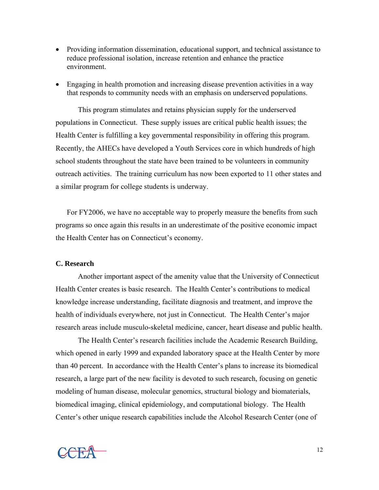- Providing information dissemination, educational support, and technical assistance to reduce professional isolation, increase retention and enhance the practice environment.
- Engaging in health promotion and increasing disease prevention activities in a way that responds to community needs with an emphasis on underserved populations.

 This program stimulates and retains physician supply for the underserved populations in Connecticut. These supply issues are critical public health issues; the Health Center is fulfilling a key governmental responsibility in offering this program. Recently, the AHECs have developed a Youth Services core in which hundreds of high school students throughout the state have been trained to be volunteers in community outreach activities. The training curriculum has now been exported to 11 other states and a similar program for college students is underway.

For FY2006, we have no acceptable way to properly measure the benefits from such programs so once again this results in an underestimate of the positive economic impact the Health Center has on Connecticut's economy.

## **C. Research**

 Another important aspect of the amenity value that the University of Connecticut Health Center creates is basic research. The Health Center's contributions to medical knowledge increase understanding, facilitate diagnosis and treatment, and improve the health of individuals everywhere, not just in Connecticut. The Health Center's major research areas include musculo-skeletal medicine, cancer, heart disease and public health.

 The Health Center's research facilities include the Academic Research Building, which opened in early 1999 and expanded laboratory space at the Health Center by more than 40 percent. In accordance with the Health Center's plans to increase its biomedical research, a large part of the new facility is devoted to such research, focusing on genetic modeling of human disease, molecular genomics, structural biology and biomaterials, biomedical imaging, clinical epidemiology, and computational biology. The Health Center's other unique research capabilities include the Alcohol Research Center (one of

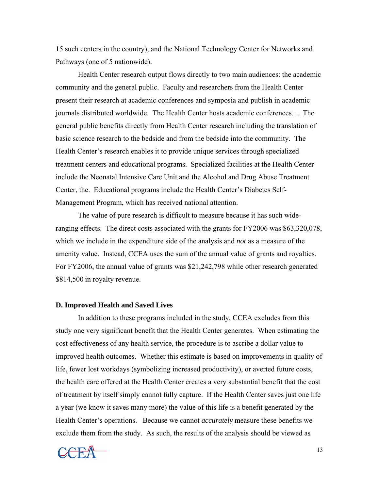15 such centers in the country), and the National Technology Center for Networks and Pathways (one of 5 nationwide).

 Health Center research output flows directly to two main audiences: the academic community and the general public. Faculty and researchers from the Health Center present their research at academic conferences and symposia and publish in academic journals distributed worldwide. The Health Center hosts academic conferences. . The general public benefits directly from Health Center research including the translation of basic science research to the bedside and from the bedside into the community. The Health Center's research enables it to provide unique services through specialized treatment centers and educational programs. Specialized facilities at the Health Center include the Neonatal Intensive Care Unit and the Alcohol and Drug Abuse Treatment Center, the. Educational programs include the Health Center's Diabetes Self-Management Program, which has received national attention.

 The value of pure research is difficult to measure because it has such wideranging effects. The direct costs associated with the grants for FY2006 was \$63,320,078, which we include in the expenditure side of the analysis and *not* as a measure of the amenity value. Instead, CCEA uses the sum of the annual value of grants and royalties. For FY2006, the annual value of grants was \$21,242,798 while other research generated \$814,500 in royalty revenue.

#### **D. Improved Health and Saved Lives**

In addition to these programs included in the study, CCEA excludes from this study one very significant benefit that the Health Center generates. When estimating the cost effectiveness of any health service, the procedure is to ascribe a dollar value to improved health outcomes. Whether this estimate is based on improvements in quality of life, fewer lost workdays (symbolizing increased productivity), or averted future costs, the health care offered at the Health Center creates a very substantial benefit that the cost of treatment by itself simply cannot fully capture. If the Health Center saves just one life a year (we know it saves many more) the value of this life is a benefit generated by the Health Center's operations. Because we cannot *accurately* measure these benefits we exclude them from the study. As such, the results of the analysis should be viewed as

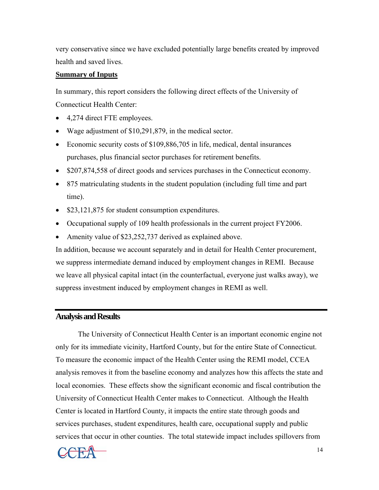very conservative since we have excluded potentially large benefits created by improved health and saved lives.

# **Summary of Inputs**

In summary, this report considers the following direct effects of the University of Connecticut Health Center:

- 4,274 direct FTE employees.
- Wage adjustment of \$10,291,879, in the medical sector.
- Economic security costs of \$109,886,705 in life, medical, dental insurances purchases, plus financial sector purchases for retirement benefits.
- \$207,874,558 of direct goods and services purchases in the Connecticut economy.
- 875 matriculating students in the student population (including full time and part time).
- \$23,121,875 for student consumption expenditures.
- Occupational supply of 109 health professionals in the current project FY2006.
- Amenity value of \$23,252,737 derived as explained above.

In addition, because we account separately and in detail for Health Center procurement, we suppress intermediate demand induced by employment changes in REMI. Because we leave all physical capital intact (in the counterfactual, everyone just walks away), we suppress investment induced by employment changes in REMI as well.

# **Analysis and Results**

 The University of Connecticut Health Center is an important economic engine not only for its immediate vicinity, Hartford County, but for the entire State of Connecticut. To measure the economic impact of the Health Center using the REMI model, CCEA analysis removes it from the baseline economy and analyzes how this affects the state and local economies. These effects show the significant economic and fiscal contribution the University of Connecticut Health Center makes to Connecticut. Although the Health Center is located in Hartford County, it impacts the entire state through goods and services purchases, student expenditures, health care, occupational supply and public services that occur in other counties. The total statewide impact includes spillovers from

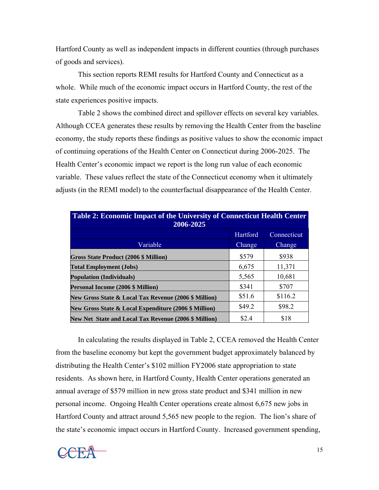Hartford County as well as independent impacts in different counties (through purchases of goods and services).

 This section reports REMI results for Hartford County and Connecticut as a whole. While much of the economic impact occurs in Hartford County, the rest of the state experiences positive impacts.

Table 2 shows the combined direct and spillover effects on several key variables. Although CCEA generates these results by removing the Health Center from the baseline economy, the study reports these findings as positive values to show the economic impact of continuing operations of the Health Center on Connecticut during 2006-2025. The Health Center's economic impact we report is the long run value of each economic variable. These values reflect the state of the Connecticut economy when it ultimately adjusts (in the REMI model) to the counterfactual disappearance of the Health Center.

| <b>Table 2: Economic Impact of the University of Connecticut Health Center</b><br>2006-2025 |          |             |  |  |  |  |
|---------------------------------------------------------------------------------------------|----------|-------------|--|--|--|--|
|                                                                                             | Hartford | Connecticut |  |  |  |  |
| Variable                                                                                    | Change   | Change      |  |  |  |  |
| Gross State Product (2006 \$ Million)                                                       | \$579    | \$938       |  |  |  |  |
| <b>Total Employment (Jobs)</b>                                                              | 6,675    | 11,371      |  |  |  |  |
| <b>Population (Individuals)</b>                                                             | 5,565    | 10,681      |  |  |  |  |
| Personal Income (2006 \$ Million)                                                           | \$341    | \$707       |  |  |  |  |
| New Gross State & Local Tax Revenue (2006 \$ Million)                                       | \$51.6   | \$116.2     |  |  |  |  |
| New Gross State & Local Expenditure (2006 \$ Million)                                       | \$49.2   | \$98.2      |  |  |  |  |
| <b>New Net State and Local Tax Revenue (2006 \$ Million)</b>                                | \$2.4    | \$18        |  |  |  |  |

In calculating the results displayed in Table 2, CCEA removed the Health Center from the baseline economy but kept the government budget approximately balanced by distributing the Health Center's \$102 million FY2006 state appropriation to state residents. As shown here, in Hartford County, Health Center operations generated an annual average of \$579 million in new gross state product and \$341 million in new personal income. Ongoing Health Center operations create almost 6,675 new jobs in Hartford County and attract around 5,565 new people to the region. The lion's share of the state's economic impact occurs in Hartford County. Increased government spending,

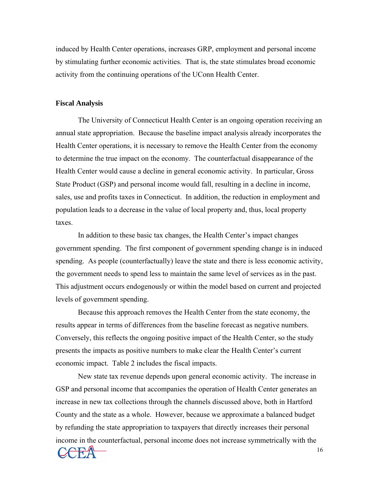induced by Health Center operations, increases GRP, employment and personal income by stimulating further economic activities. That is, the state stimulates broad economic activity from the continuing operations of the UConn Health Center.

#### **Fiscal Analysis**

The University of Connecticut Health Center is an ongoing operation receiving an annual state appropriation. Because the baseline impact analysis already incorporates the Health Center operations, it is necessary to remove the Health Center from the economy to determine the true impact on the economy. The counterfactual disappearance of the Health Center would cause a decline in general economic activity. In particular, Gross State Product (GSP) and personal income would fall, resulting in a decline in income, sales, use and profits taxes in Connecticut. In addition, the reduction in employment and population leads to a decrease in the value of local property and, thus, local property taxes.

In addition to these basic tax changes, the Health Center's impact changes government spending. The first component of government spending change is in induced spending. As people (counterfactually) leave the state and there is less economic activity, the government needs to spend less to maintain the same level of services as in the past. This adjustment occurs endogenously or within the model based on current and projected levels of government spending.

Because this approach removes the Health Center from the state economy, the results appear in terms of differences from the baseline forecast as negative numbers. Conversely, this reflects the ongoing positive impact of the Health Center, so the study presents the impacts as positive numbers to make clear the Health Center's current economic impact. Table 2 includes the fiscal impacts.

New state tax revenue depends upon general economic activity. The increase in GSP and personal income that accompanies the operation of Health Center generates an increase in new tax collections through the channels discussed above, both in Hartford County and the state as a whole. However, because we approximate a balanced budget by refunding the state appropriation to taxpayers that directly increases their personal income in the counterfactual, personal income does not increase symmetrically with the

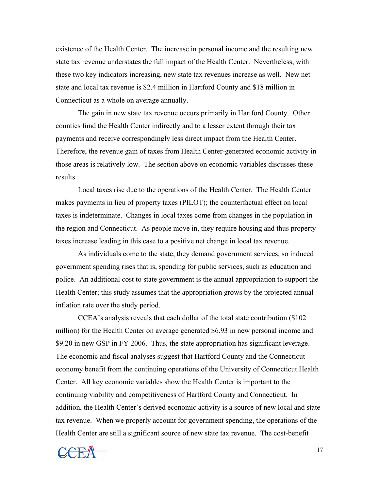existence of the Health Center. The increase in personal income and the resulting new state tax revenue understates the full impact of the Health Center. Nevertheless, with these two key indicators increasing, new state tax revenues increase as well. New net state and local tax revenue is \$2.4 million in Hartford County and \$18 million in Connecticut as a whole on average annually.

The gain in new state tax revenue occurs primarily in Hartford County. Other counties fund the Health Center indirectly and to a lesser extent through their tax payments and receive correspondingly less direct impact from the Health Center. Therefore, the revenue gain of taxes from Health Center-generated economic activity in those areas is relatively low. The section above on economic variables discusses these results.

Local taxes rise due to the operations of the Health Center. The Health Center makes payments in lieu of property taxes (PILOT); the counterfactual effect on local taxes is indeterminate. Changes in local taxes come from changes in the population in the region and Connecticut. As people move in, they require housing and thus property taxes increase leading in this case to a positive net change in local tax revenue.

As individuals come to the state, they demand government services, so induced government spending rises that is, spending for public services, such as education and police. An additional cost to state government is the annual appropriation to support the Health Center; this study assumes that the appropriation grows by the projected annual inflation rate over the study period.

 CCEA's analysis reveals that each dollar of the total state contribution (\$102 million) for the Health Center on average generated \$6.93 in new personal income and \$9.20 in new GSP in FY 2006. Thus, the state appropriation has significant leverage. The economic and fiscal analyses suggest that Hartford County and the Connecticut economy benefit from the continuing operations of the University of Connecticut Health Center. All key economic variables show the Health Center is important to the continuing viability and competitiveness of Hartford County and Connecticut. In addition, the Health Center's derived economic activity is a source of new local and state tax revenue. When we properly account for government spending, the operations of the Health Center are still a significant source of new state tax revenue. The cost-benefit

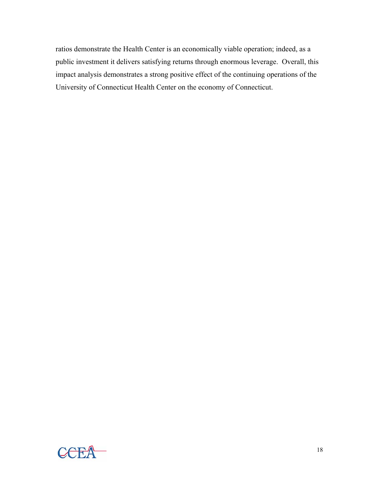ratios demonstrate the Health Center is an economically viable operation; indeed, as a public investment it delivers satisfying returns through enormous leverage. Overall, this impact analysis demonstrates a strong positive effect of the continuing operations of the University of Connecticut Health Center on the economy of Connecticut.

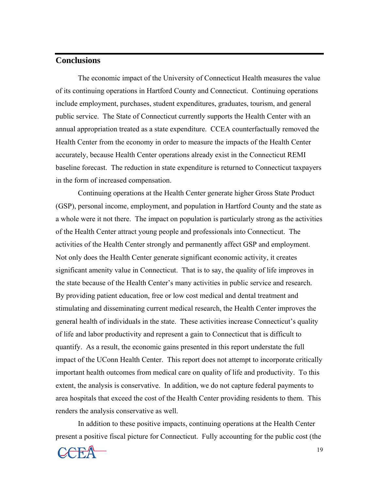# **Conclusions**

 The economic impact of the University of Connecticut Health measures the value of its continuing operations in Hartford County and Connecticut. Continuing operations include employment, purchases, student expenditures, graduates, tourism, and general public service. The State of Connecticut currently supports the Health Center with an annual appropriation treated as a state expenditure. CCEA counterfactually removed the Health Center from the economy in order to measure the impacts of the Health Center accurately, because Health Center operations already exist in the Connecticut REMI baseline forecast. The reduction in state expenditure is returned to Connecticut taxpayers in the form of increased compensation.

 Continuing operations at the Health Center generate higher Gross State Product (GSP), personal income, employment, and population in Hartford County and the state as a whole were it not there. The impact on population is particularly strong as the activities of the Health Center attract young people and professionals into Connecticut. The activities of the Health Center strongly and permanently affect GSP and employment. Not only does the Health Center generate significant economic activity, it creates significant amenity value in Connecticut. That is to say, the quality of life improves in the state because of the Health Center's many activities in public service and research. By providing patient education, free or low cost medical and dental treatment and stimulating and disseminating current medical research, the Health Center improves the general health of individuals in the state. These activities increase Connecticut's quality of life and labor productivity and represent a gain to Connecticut that is difficult to quantify. As a result, the economic gains presented in this report understate the full impact of the UConn Health Center. This report does not attempt to incorporate critically important health outcomes from medical care on quality of life and productivity. To this extent, the analysis is conservative. In addition, we do not capture federal payments to area hospitals that exceed the cost of the Health Center providing residents to them. This renders the analysis conservative as well.

 In addition to these positive impacts, continuing operations at the Health Center present a positive fiscal picture for Connecticut. Fully accounting for the public cost (the

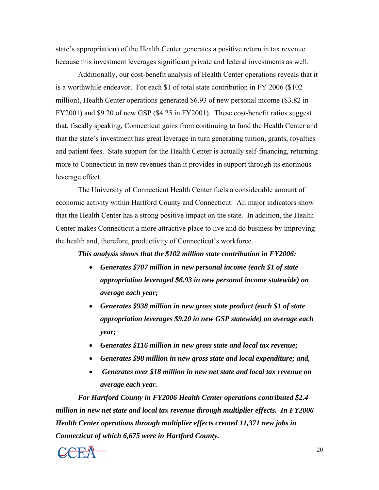state's appropriation) of the Health Center generates a positive return in tax revenue because this investment leverages significant private and federal investments as well.

Additionally, our cost-benefit analysis of Health Center operations reveals that it is a worthwhile endeavor. For each \$1 of total state contribution in FY 2006 (\$102 million), Health Center operations generated \$6.93 of new personal income (\$3.82 in FY2001) and \$9.20 of new GSP (\$4.25 in FY2001). These cost-benefit ratios suggest that, fiscally speaking, Connecticut gains from continuing to fund the Health Center and that the state's investment has great leverage in turn generating tuition, grants, royalties and patient fees. State support for the Health Center is actually self-financing, returning more to Connecticut in new revenues than it provides in support through its enormous leverage effect.

 The University of Connecticut Health Center fuels a considerable amount of economic activity within Hartford County and Connecticut. All major indicators show that the Health Center has a strong positive impact on the state. In addition, the Health Center makes Connecticut a more attractive place to live and do business by improving the health and, therefore, productivity of Connecticut's workforce.

*This analysis shows that the \$102 million state contribution in FY2006:* 

- *Generates \$707 million in new personal income (each \$1 of state appropriation leveraged \$6.93 in new personal income statewide) on average each year;*
- *Generates \$938 million in new gross state product (each \$1 of state appropriation leverages \$9.20 in new GSP statewide) on average each year;*
- *Generates \$116 million in new gross state and local tax revenue;*
- *Generates \$98 million in new gross state and local expenditure; and,*
- • *Generates over \$18 million in new net state and local tax revenue on average each year.*

*For Hartford County in FY2006 Health Center operations contributed \$2.4 million in new net state and local tax revenue through multiplier effects. In FY2006 Health Center operations through multiplier effects created 11,371 new jobs in Connecticut of which 6,675 were in Hartford County.*

 $\begin{array}{ccc}\n\hline\n\end{array}\n\qquad \qquad \begin{array}{ccc}\n\hline\n\end{array}\n\qquad \qquad \begin{array}{ccc}\n\hline\n\end{array}\n\qquad \qquad \begin{array}{ccc}\n\hline\n\end{array}\n\qquad \qquad \begin{array}{ccc}\n\hline\n\end{array}\n\qquad \qquad \begin{array}{ccc}\n\hline\n\end{array}\n\qquad \qquad \begin{array}{ccc}\n\hline\n\end{array}\n\qquad \qquad \begin{array}{ccc}\n\hline\n\end{array}\n\qquad \qquad \begin{array}{ccc}\n\hline\n\end{array}\n\qquad \qquad \begin{array$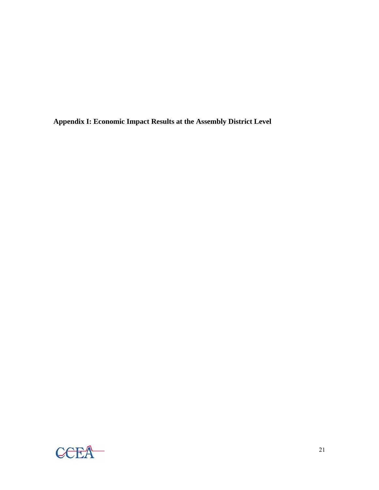**Appendix I: Economic Impact Results at the Assembly District Level** 

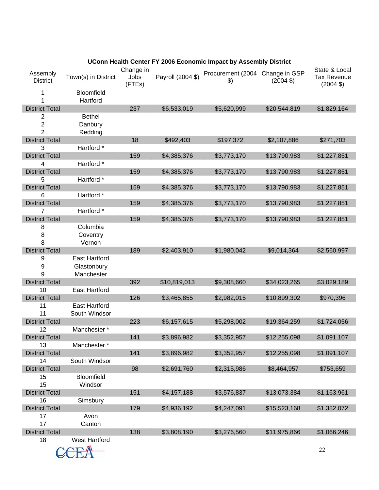|                             | <b>UCONN Health Center FT 2006 ECONOMIC IMPACT BY ASSEMBIV DISTRICT</b> |                             |                   |                                                  |                     |                                                            |
|-----------------------------|-------------------------------------------------------------------------|-----------------------------|-------------------|--------------------------------------------------|---------------------|------------------------------------------------------------|
| Assembly<br><b>District</b> | Town(s) in District                                                     | Change in<br>Jobs<br>(FTEs) | Payroll (2004 \$) | Procurement (2004 Change in GSP<br>$\mathcal{L}$ | $(2004 \text{ } $)$ | State & Local<br><b>Tax Revenue</b><br>$(2004 \text{ } $)$ |
| 1                           | Bloomfield                                                              |                             |                   |                                                  |                     |                                                            |
| 1                           | Hartford                                                                |                             |                   |                                                  |                     |                                                            |
| <b>District Total</b>       |                                                                         | 237                         | \$6,533,019       | \$5,620,999                                      | \$20,544,819        | \$1,829,164                                                |
| 2                           | <b>Bethel</b>                                                           |                             |                   |                                                  |                     |                                                            |
| $\boldsymbol{2}$            | Danbury                                                                 |                             |                   |                                                  |                     |                                                            |
| $\overline{2}$              | Redding                                                                 |                             |                   |                                                  |                     |                                                            |
| <b>District Total</b>       |                                                                         | 18                          | \$492,403         | \$197,372                                        | \$2,107,886         | \$271,703                                                  |
| 3                           | Hartford *                                                              |                             |                   |                                                  |                     |                                                            |
| <b>District Total</b>       |                                                                         | 159                         | \$4,385,376       | \$3,773,170                                      | \$13,790,983        | \$1,227,851                                                |
| 4                           | Hartford *                                                              |                             |                   |                                                  |                     |                                                            |
| <b>District Total</b>       |                                                                         | 159                         | \$4,385,376       | \$3,773,170                                      | \$13,790,983        | \$1,227,851                                                |
| 5                           | Hartford *                                                              |                             |                   |                                                  |                     |                                                            |
| <b>District Total</b>       |                                                                         | 159                         | \$4,385,376       | \$3,773,170                                      | \$13,790,983        | \$1,227,851                                                |
| 6                           | Hartford *                                                              |                             |                   |                                                  |                     |                                                            |
| <b>District Total</b>       |                                                                         | 159                         | \$4,385,376       | \$3,773,170                                      | \$13,790,983        | \$1,227,851                                                |
| 7                           | Hartford *                                                              |                             |                   |                                                  |                     |                                                            |
| <b>District Total</b>       |                                                                         | 159                         | \$4,385,376       | \$3,773,170                                      | \$13,790,983        | \$1,227,851                                                |
| 8                           | Columbia                                                                |                             |                   |                                                  |                     |                                                            |
| 8                           | Coventry                                                                |                             |                   |                                                  |                     |                                                            |
| 8                           | Vernon                                                                  |                             |                   |                                                  |                     |                                                            |
| <b>District Total</b>       |                                                                         | 189                         | \$2,403,910       | \$1,980,042                                      | \$9,014,364         | \$2,560,997                                                |
| 9                           | <b>East Hartford</b>                                                    |                             |                   |                                                  |                     |                                                            |
| 9                           | Glastonbury                                                             |                             |                   |                                                  |                     |                                                            |
| 9                           | Manchester                                                              |                             |                   |                                                  |                     |                                                            |
| <b>District Total</b>       |                                                                         | 392                         | \$10,819,013      | \$9,308,660                                      | \$34,023,265        | \$3,029,189                                                |
| 10                          | <b>East Hartford</b>                                                    |                             |                   |                                                  |                     |                                                            |
| <b>District Total</b>       |                                                                         | 126                         | \$3,465,855       | \$2,982,015                                      | \$10,899,302        | \$970,396                                                  |
| 11                          | <b>East Hartford</b>                                                    |                             |                   |                                                  |                     |                                                            |
| 11                          | South Windsor                                                           |                             |                   |                                                  |                     |                                                            |
| <b>District Total</b>       |                                                                         | 223                         | \$6,157,615       | \$5,298,002                                      | \$19,364,259        | \$1,724,056                                                |
| 12                          | Manchester *                                                            |                             |                   |                                                  |                     |                                                            |
| <b>District Total</b>       |                                                                         | 141                         | \$3,896,982       | \$3,352,957                                      | \$12,255,098        | \$1,091,107                                                |
| 13                          | Manchester *                                                            |                             |                   |                                                  |                     |                                                            |
| <b>District Total</b>       |                                                                         | 141                         | \$3,896,982       | \$3,352,957                                      | \$12,255,098        | \$1,091,107                                                |
| 14                          | South Windsor                                                           |                             |                   |                                                  |                     |                                                            |
| <b>District Total</b>       |                                                                         | 98                          | \$2,691,760       | \$2,315,986                                      | \$8,464,957         | \$753,659                                                  |
| 15                          | Bloomfield                                                              |                             |                   |                                                  |                     |                                                            |
| 15                          | Windsor                                                                 |                             |                   |                                                  |                     |                                                            |
| <b>District Total</b>       |                                                                         | 151                         | \$4,157,188       | \$3,576,837                                      | \$13,073,384        | \$1,163,961                                                |
| 16                          | Simsbury                                                                |                             |                   |                                                  |                     |                                                            |
| <b>District Total</b>       |                                                                         | 179                         | \$4,936,192       | \$4,247,091                                      | \$15,523,168        | \$1,382,072                                                |
| 17                          | Avon                                                                    |                             |                   |                                                  |                     |                                                            |
| 17                          | Canton                                                                  |                             |                   |                                                  |                     |                                                            |
| <b>District Total</b>       |                                                                         | 138                         | \$3,808,190       | \$3,276,560                                      | \$11,975,866        | \$1,066,246                                                |
| 18                          | <b>West Hartford</b>                                                    |                             |                   |                                                  |                     |                                                            |
|                             |                                                                         |                             |                   |                                                  |                     |                                                            |
|                             |                                                                         |                             |                   |                                                  |                     | 22                                                         |

# **UConn Health Center FY 2006 Economic Impact by Assembly District**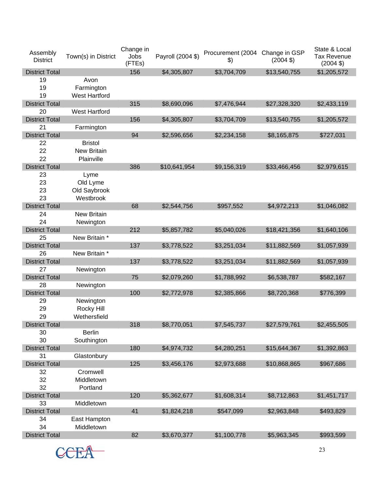| Assembly<br><b>District</b> | Town(s) in District  | Change in<br>Jobs<br>(FTEs) | Payroll (2004 \$) | Procurement (2004<br>$\boldsymbol{\$}$ | Change in GSP<br>$(2004 \text{ } $)$ | State & Local<br><b>Tax Revenue</b><br>$(2004 \text{ } $)$ |
|-----------------------------|----------------------|-----------------------------|-------------------|----------------------------------------|--------------------------------------|------------------------------------------------------------|
| <b>District Total</b>       |                      | 156                         | \$4,305,807       | \$3,704,709                            | \$13,540,755                         | \$1,205,572                                                |
| 19                          | Avon                 |                             |                   |                                        |                                      |                                                            |
| 19                          | Farmington           |                             |                   |                                        |                                      |                                                            |
| 19                          | <b>West Hartford</b> |                             |                   |                                        |                                      |                                                            |
| <b>District Total</b>       |                      | 315                         | \$8,690,096       | \$7,476,944                            | \$27,328,320                         | \$2,433,119                                                |
| 20                          | <b>West Hartford</b> |                             |                   |                                        |                                      |                                                            |
| <b>District Total</b>       |                      | 156                         | \$4,305,807       | \$3,704,709                            | \$13,540,755                         | \$1,205,572                                                |
| 21                          | Farmington           |                             |                   |                                        |                                      |                                                            |
| <b>District Total</b>       |                      | 94                          | \$2,596,656       | \$2,234,158                            | \$8,165,875                          | \$727,031                                                  |
| 22                          | <b>Bristol</b>       |                             |                   |                                        |                                      |                                                            |
| 22                          | <b>New Britain</b>   |                             |                   |                                        |                                      |                                                            |
| 22                          | Plainville           |                             |                   |                                        |                                      |                                                            |
| <b>District Total</b>       |                      | 386                         | \$10,641,954      | \$9,156,319                            | \$33,466,456                         | \$2,979,615                                                |
| 23                          | Lyme                 |                             |                   |                                        |                                      |                                                            |
| 23                          | Old Lyme             |                             |                   |                                        |                                      |                                                            |
| 23                          | Old Saybrook         |                             |                   |                                        |                                      |                                                            |
| 23                          | Westbrook            |                             |                   |                                        |                                      |                                                            |
| <b>District Total</b>       |                      | 68                          | \$2,544,756       | \$957,552                              | \$4,972,213                          | \$1,046,082                                                |
| 24                          | <b>New Britain</b>   |                             |                   |                                        |                                      |                                                            |
| 24                          | Newington            |                             |                   |                                        |                                      |                                                            |
| <b>District Total</b>       |                      | 212                         | \$5,857,782       | \$5,040,026                            | \$18,421,356                         | \$1,640,106                                                |
| 25                          | New Britain *        |                             |                   |                                        |                                      |                                                            |
| <b>District Total</b>       |                      | 137                         | \$3,778,522       | \$3,251,034                            | \$11,882,569                         | \$1,057,939                                                |
| 26                          | New Britain *        |                             |                   |                                        |                                      |                                                            |
| <b>District Total</b>       |                      | 137                         | \$3,778,522       | \$3,251,034                            | \$11,882,569                         | \$1,057,939                                                |
| 27                          | Newington            |                             |                   |                                        |                                      |                                                            |
| <b>District Total</b>       |                      | 75                          | \$2,079,260       | \$1,788,992                            | \$6,538,787                          | \$582,167                                                  |
| 28                          | Newington            |                             |                   |                                        |                                      |                                                            |
| <b>District Total</b>       |                      | 100                         | \$2,772,978       | \$2,385,866                            | \$8,720,368                          | \$776,399                                                  |
| 29                          | Newington            |                             |                   |                                        |                                      |                                                            |
| 29                          | Rocky Hill           |                             |                   |                                        |                                      |                                                            |
| 29                          | Wethersfield         |                             |                   |                                        |                                      |                                                            |
| <b>District Total</b>       |                      | 318                         | \$8,770,051       | \$7,545,737                            | \$27,579,761                         | \$2,455,505                                                |
| 30                          | <b>Berlin</b>        |                             |                   |                                        |                                      |                                                            |
| 30                          | Southington          |                             |                   |                                        |                                      |                                                            |
| <b>District Total</b>       |                      | 180                         | \$4,974,732       | \$4,280,251                            | \$15,644,367                         | \$1,392,863                                                |
| 31                          | Glastonbury          |                             |                   |                                        |                                      |                                                            |
| <b>District Total</b>       |                      | 125                         | \$3,456,176       | \$2,973,688                            | \$10,868,865                         | \$967,686                                                  |
| 32                          | Cromwell             |                             |                   |                                        |                                      |                                                            |
| 32                          | Middletown           |                             |                   |                                        |                                      |                                                            |
| 32                          | Portland             |                             |                   |                                        |                                      |                                                            |
| <b>District Total</b>       |                      | 120                         | \$5,362,677       | \$1,608,314                            | \$8,712,863                          | \$1,451,717                                                |
| 33                          | Middletown           |                             |                   |                                        |                                      |                                                            |
| <b>District Total</b>       |                      | 41                          | \$1,824,218       | \$547,099                              | \$2,963,848                          | \$493,829                                                  |
| 34                          | East Hampton         |                             |                   |                                        |                                      |                                                            |
| 34                          | Middletown           |                             |                   |                                        |                                      |                                                            |
| <b>District Total</b>       |                      | 82                          | \$3,670,377       | \$1,100,778                            | \$5,963,345                          | \$993,599                                                  |
|                             |                      |                             |                   |                                        |                                      |                                                            |

 $CCEA$ <sup>23</sup>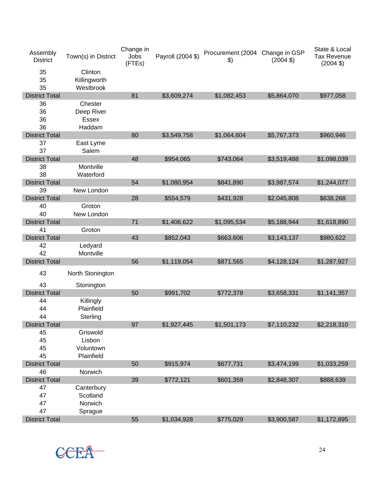| Assembly<br><b>District</b> | Town(s) in District | Change in<br>Jobs<br>(FTEs) | Payroll (2004 \$) | Procurement (2004 Change in GSP<br>$\frac{1}{2}$ | $(2004 \text{ } $)$ | State & Local<br><b>Tax Revenue</b><br>$(2004 \text{ } $)$ |
|-----------------------------|---------------------|-----------------------------|-------------------|--------------------------------------------------|---------------------|------------------------------------------------------------|
| 35                          | Clinton             |                             |                   |                                                  |                     |                                                            |
| 35                          | Killingworth        |                             |                   |                                                  |                     |                                                            |
| 35                          | Westbrook           |                             |                   |                                                  |                     |                                                            |
| <b>District Total</b>       |                     | 81                          | \$3,609,274       | \$1,082,453                                      | \$5,864,070         | \$977,058                                                  |
| 36                          | Chester             |                             |                   |                                                  |                     |                                                            |
| 36                          | Deep River          |                             |                   |                                                  |                     |                                                            |
| 36                          | Essex               |                             |                   |                                                  |                     |                                                            |
| 36                          | Haddam              |                             |                   |                                                  |                     |                                                            |
| <b>District Total</b>       |                     | 80                          | \$3,549,758       | \$1,064,604                                      | \$5,767,373         | \$960,946                                                  |
| 37                          | East Lyme           |                             |                   |                                                  |                     |                                                            |
| 37                          | Salem               |                             |                   |                                                  |                     |                                                            |
| <b>District Total</b>       |                     | 48                          | \$954,065         | \$743,064                                        | \$3,519,488         | \$1,098,039                                                |
| 38                          | Montville           |                             |                   |                                                  |                     |                                                            |
| 38                          | Waterford           |                             |                   |                                                  |                     |                                                            |
| <b>District Total</b>       |                     | 54                          | \$1,080,954       | \$841,890                                        | \$3,987,574         | \$1,244,077                                                |
| 39                          | New London          |                             |                   |                                                  |                     |                                                            |
| <b>District Total</b>       |                     | 28                          | \$554,579         | \$431,928                                        | \$2,045,808         | \$638,268                                                  |
| 40                          | Groton              |                             |                   |                                                  |                     |                                                            |
| 40                          | New London          |                             |                   |                                                  |                     |                                                            |
| <b>District Total</b>       |                     | 71                          | \$1,406,622       | \$1,095,534                                      | \$5,188,944         | \$1,618,890                                                |
| 41                          | Groton              |                             |                   |                                                  |                     |                                                            |
| <b>District Total</b>       |                     | 43                          | \$852,043         | \$663,606                                        | \$3,143,137         | \$980,622                                                  |
| 42                          | Ledyard             |                             |                   |                                                  |                     |                                                            |
| 42                          | Montville           |                             |                   |                                                  |                     |                                                            |
| <b>District Total</b>       |                     | 56                          | \$1,119,054       | \$871,565                                        | \$4,128,124         | \$1,287,927                                                |
| 43                          | North Stonington    |                             |                   |                                                  |                     |                                                            |
| 43                          | Stonington          |                             |                   |                                                  |                     |                                                            |
| <b>District Total</b>       |                     | 50                          | \$991,702         | \$772,378                                        | \$3,658,331         | \$1,141,357                                                |
| 44                          | Killingly           |                             |                   |                                                  |                     |                                                            |
| 44                          | Plainfield          |                             |                   |                                                  |                     |                                                            |
| 44                          | Sterling            |                             |                   |                                                  |                     |                                                            |
| <b>District Total</b>       |                     | 97                          | \$1,927,445       | \$1,501,173                                      | \$7,110,232         | \$2,218,310                                                |
| 45                          | Griswold            |                             |                   |                                                  |                     |                                                            |
| 45                          | Lisbon              |                             |                   |                                                  |                     |                                                            |
| 45                          | Voluntown           |                             |                   |                                                  |                     |                                                            |
| 45                          | Plainfield          |                             |                   |                                                  |                     |                                                            |
| <b>District Total</b>       |                     | 50                          | \$915,974         | \$677,731                                        | \$3,474,199         | \$1,033,259                                                |
| 46                          | Norwich             |                             |                   |                                                  |                     |                                                            |
| <b>District Total</b>       |                     | 39                          | \$772,121         | \$601,359                                        | \$2,848,307         | \$888,639                                                  |
| 47                          | Canterbury          |                             |                   |                                                  |                     |                                                            |
| 47                          | Scotland            |                             |                   |                                                  |                     |                                                            |
| 47                          | Norwich             |                             |                   |                                                  |                     |                                                            |
| 47                          | Sprague             |                             |                   |                                                  |                     |                                                            |
| <b>District Total</b>       |                     | 55                          | \$1,034,928       | \$775,029                                        | \$3,900,587         | \$1,172,895                                                |

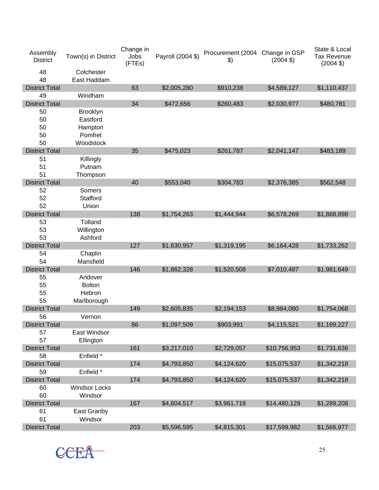| Assembly<br><b>District</b> | Town(s) in District       | Change in<br>Jobs<br>(FTEs) | Payroll (2004 \$) | Procurement (2004 Change in GSP<br>$\boldsymbol{\$}$ | $(2004 \text{ } $)$ | State & Local<br><b>Tax Revenue</b><br>$(2004 \text{ } $)$ |
|-----------------------------|---------------------------|-----------------------------|-------------------|------------------------------------------------------|---------------------|------------------------------------------------------------|
| 48<br>48                    | Colchester<br>East Haddam |                             |                   |                                                      |                     |                                                            |
| <b>District Total</b>       |                           | 63                          | \$2,005,280       | \$910,238                                            | \$4,589,127         | \$1,110,437                                                |
| 49                          | Windham                   |                             |                   |                                                      |                     |                                                            |
| <b>District Total</b>       |                           | 34                          | \$472,656         | \$260,483                                            | \$2,030,977         | \$480,781                                                  |
| 50                          | <b>Brooklyn</b>           |                             |                   |                                                      |                     |                                                            |
| 50                          | Eastford                  |                             |                   |                                                      |                     |                                                            |
| 50                          | Hampton                   |                             |                   |                                                      |                     |                                                            |
| 50                          | Pomfret                   |                             |                   |                                                      |                     |                                                            |
| 50                          | Woodstock                 |                             |                   |                                                      |                     |                                                            |
| <b>District Total</b>       |                           | 35                          | \$475,023         | \$261,787                                            | \$2,041,147         | \$483,189                                                  |
| 51                          | Killingly                 |                             |                   |                                                      |                     |                                                            |
| 51                          | Putnam                    |                             |                   |                                                      |                     |                                                            |
| 51                          | Thompson                  |                             |                   |                                                      |                     |                                                            |
| <b>District Total</b>       |                           | 40                          | \$553,040         | \$304,783                                            | \$2,376,385         | \$562,548                                                  |
| 52                          | Somers                    |                             |                   |                                                      |                     |                                                            |
| 52                          | Stafford                  |                             |                   |                                                      |                     |                                                            |
| 52                          | Union                     |                             |                   |                                                      |                     |                                                            |
| <b>District Total</b>       |                           | 138                         | \$1,754,263       | \$1,444,944                                          | \$6,578,269         | \$1,868,898                                                |
| 53                          | Tolland                   |                             |                   |                                                      |                     |                                                            |
| 53                          | Willington                |                             |                   |                                                      |                     |                                                            |
| 53                          | Ashford                   |                             |                   |                                                      |                     |                                                            |
| <b>District Total</b>       |                           | 127                         | \$1,630,957       | \$1,319,195                                          | \$6,164,428         | \$1,733,262                                                |
| 54                          | Chaplin                   |                             |                   |                                                      |                     |                                                            |
| 54                          | Mansfield                 |                             |                   |                                                      |                     |                                                            |
| <b>District Total</b>       |                           | 146                         | \$1,862,328       | \$1,520,508                                          | \$7,010,487         | \$1,981,649                                                |
| 55                          | Andover                   |                             |                   |                                                      |                     |                                                            |
| 55                          | <b>Bolton</b>             |                             |                   |                                                      |                     |                                                            |
| 55                          | Hebron                    |                             |                   |                                                      |                     |                                                            |
| 55                          | Marlborough               |                             |                   |                                                      |                     |                                                            |
| <b>District Total</b>       |                           | 149                         | \$2,605,835       | \$2,194,153                                          | \$8,984,080         | \$1,754,068                                                |
| 56                          | Vernon                    |                             |                   |                                                      |                     |                                                            |
| <b>District Total</b>       |                           | 86                          | \$1,097,509       | \$903,991                                            | \$4,115,521         | \$1,169,227                                                |
| 57                          | East Windsor              |                             |                   |                                                      |                     |                                                            |
| 57                          | Ellington                 |                             |                   |                                                      |                     |                                                            |
| <b>District Total</b>       |                           | 161                         | \$3,217,010       | \$2,729,057                                          | \$10,756,953        | \$1,731,636                                                |
| 58                          | Enfield *                 |                             |                   |                                                      |                     |                                                            |
| <b>District Total</b>       |                           | 174                         | \$4,793,850       | \$4,124,620                                          | \$15,075,537        | \$1,342,218                                                |
| 59                          | Enfield *                 |                             |                   |                                                      |                     |                                                            |
| <b>District Total</b>       |                           | 174                         | \$4,793,850       | \$4,124,620                                          | \$15,075,537        | \$1,342,218                                                |
| 60                          | <b>Windsor Locks</b>      |                             |                   |                                                      |                     |                                                            |
| 60                          | Windsor                   |                             |                   |                                                      |                     |                                                            |
| <b>District Total</b>       |                           | 167                         | \$4,604,517       | \$3,961,718                                          | \$14,480,129        | \$1,289,208                                                |
| 61<br>61                    | East Granby               |                             |                   |                                                      |                     |                                                            |
| <b>District Total</b>       | Windsor                   | 203                         |                   |                                                      |                     |                                                            |
|                             |                           |                             | \$5,596,595       | \$4,815,301                                          | \$17,599,982        | \$1,566,977                                                |

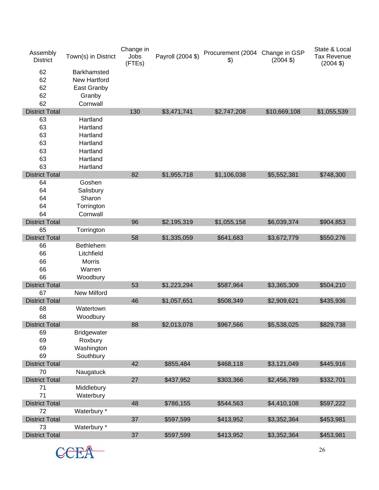| Assembly<br><b>District</b> | Town(s) in District | Change in<br>Jobs<br>(FTEs) | Payroll (2004 \$) | Procurement (2004 Change in GSP<br>$\boldsymbol{\$}$ | $(2004 \text{ } $)$ | State & Local<br><b>Tax Revenue</b><br>$(2004 \text{ } $)$ |
|-----------------------------|---------------------|-----------------------------|-------------------|------------------------------------------------------|---------------------|------------------------------------------------------------|
| 62                          | Barkhamsted         |                             |                   |                                                      |                     |                                                            |
| 62                          | <b>New Hartford</b> |                             |                   |                                                      |                     |                                                            |
| 62                          | East Granby         |                             |                   |                                                      |                     |                                                            |
| 62                          | Granby              |                             |                   |                                                      |                     |                                                            |
| 62                          | Cornwall            |                             |                   |                                                      |                     |                                                            |
| <b>District Total</b>       |                     | 130                         | \$3,471,741       | \$2,747,208                                          | \$10,669,108        | \$1,055,539                                                |
| 63                          | Hartland            |                             |                   |                                                      |                     |                                                            |
| 63                          | Hartland            |                             |                   |                                                      |                     |                                                            |
| 63                          | Hartland            |                             |                   |                                                      |                     |                                                            |
| 63                          | Hartland            |                             |                   |                                                      |                     |                                                            |
| 63                          | Hartland            |                             |                   |                                                      |                     |                                                            |
| 63                          | Hartland            |                             |                   |                                                      |                     |                                                            |
| 63                          | Hartland            |                             |                   |                                                      |                     |                                                            |
| <b>District Total</b>       |                     | 82                          | \$1,955,718       | \$1,106,038                                          | \$5,552,381         | \$748,300                                                  |
| 64                          | Goshen              |                             |                   |                                                      |                     |                                                            |
| 64                          | Salisbury           |                             |                   |                                                      |                     |                                                            |
| 64                          | Sharon              |                             |                   |                                                      |                     |                                                            |
| 64                          | Torrington          |                             |                   |                                                      |                     |                                                            |
| 64                          | Cornwall            |                             |                   |                                                      |                     |                                                            |
| <b>District Total</b>       |                     | 96                          | \$2,195,319       | \$1,055,158                                          | \$6,039,374         | \$904,853                                                  |
| 65                          | Torrington          |                             |                   |                                                      |                     |                                                            |
| <b>District Total</b>       |                     | 58                          | \$1,335,059       | \$641,683                                            | \$3,672,779         | \$550,276                                                  |
| 66                          | <b>Bethlehem</b>    |                             |                   |                                                      |                     |                                                            |
| 66                          | Litchfield          |                             |                   |                                                      |                     |                                                            |
| 66                          | <b>Morris</b>       |                             |                   |                                                      |                     |                                                            |
| 66                          | Warren              |                             |                   |                                                      |                     |                                                            |
| 66                          | Woodbury            |                             |                   |                                                      |                     |                                                            |
| <b>District Total</b>       |                     | 53                          | \$1,223,294       | \$587,964                                            | \$3,365,309         | \$504,210                                                  |
| 67                          | <b>New Milford</b>  |                             |                   |                                                      |                     |                                                            |
| <b>District Total</b>       |                     | 46                          | \$1,057,651       | \$508,349                                            | \$2,909,621         | \$435,936                                                  |
| 68                          | Watertown           |                             |                   |                                                      |                     |                                                            |
| 68                          | Woodbury            |                             |                   |                                                      |                     |                                                            |
| <b>District Total</b>       |                     | 88                          | \$2,013,078       | \$967,566                                            | \$5,538,025         | \$829,738                                                  |
| 69                          | <b>Bridgewater</b>  |                             |                   |                                                      |                     |                                                            |
| 69                          | Roxbury             |                             |                   |                                                      |                     |                                                            |
| 69                          | Washington          |                             |                   |                                                      |                     |                                                            |
| 69                          | Southbury           |                             |                   |                                                      |                     |                                                            |
| <b>District Total</b>       |                     | 42                          | \$855,484         | \$468,118                                            | \$3,121,049         | \$445,916                                                  |
| 70                          | Naugatuck           |                             |                   |                                                      |                     |                                                            |
| <b>District Total</b>       |                     | 27                          | \$437,952         | \$303,366                                            | \$2,456,789         | \$332,701                                                  |
| 71<br>71                    | Middlebury          |                             |                   |                                                      |                     |                                                            |
| <b>District Total</b>       | Waterbury           | 48                          | \$786,155         | \$544,563                                            | \$4,410,108         | \$597,222                                                  |
| 72                          | Waterbury *         |                             |                   |                                                      |                     |                                                            |
| <b>District Total</b>       |                     | 37                          | \$597,599         | \$413,952                                            | \$3,352,364         | \$453,981                                                  |
| 73                          | Waterbury *         |                             |                   |                                                      |                     |                                                            |
| <b>District Total</b>       |                     | 37                          | \$597,599         | \$413,952                                            | \$3,352,364         | \$453,981                                                  |
|                             |                     |                             |                   |                                                      |                     |                                                            |

CCEA<sup>26</sup>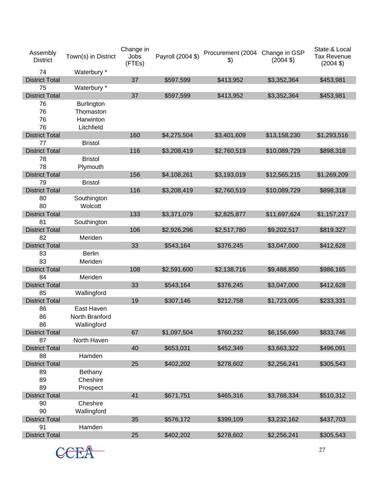| Assembly<br><b>District</b> | Town(s) in District | Change in<br>Jobs<br>(FTEs) | Payroll (2004 \$) | Procurement (2004 Change in GSP<br>$\boldsymbol{\$}$ | $(2004 \text{ } $)$ | State & Local<br><b>Tax Revenue</b><br>$(2004 \text{ } $)$ |
|-----------------------------|---------------------|-----------------------------|-------------------|------------------------------------------------------|---------------------|------------------------------------------------------------|
| 74                          | Waterbury *         |                             |                   |                                                      |                     |                                                            |
| <b>District Total</b>       |                     | 37                          | \$597,599         | \$413,952                                            | \$3,352,364         | \$453,981                                                  |
| 75                          | Waterbury *         |                             |                   |                                                      |                     |                                                            |
| <b>District Total</b>       |                     | 37                          | \$597,599         | \$413,952                                            | \$3,352,364         | \$453,981                                                  |
| 76                          | <b>Burlington</b>   |                             |                   |                                                      |                     |                                                            |
| 76                          | Thomaston           |                             |                   |                                                      |                     |                                                            |
| 76                          | Harwinton           |                             |                   |                                                      |                     |                                                            |
| 76                          | Litchfield          |                             |                   |                                                      |                     |                                                            |
| <b>District Total</b>       |                     | 160                         | \$4,275,504       | \$3,401,609                                          | \$13,158,230        | \$1,293,516                                                |
| 77                          | <b>Bristol</b>      |                             |                   |                                                      |                     |                                                            |
| <b>District Total</b>       |                     | 116                         | \$3,208,419       | \$2,760,519                                          | \$10,089,729        | \$898,318                                                  |
| 78                          | <b>Bristol</b>      |                             |                   |                                                      |                     |                                                            |
| 78                          | Plymouth            |                             |                   |                                                      |                     |                                                            |
| <b>District Total</b>       |                     | 156                         | \$4,108,261       | \$3,193,019                                          | \$12,565,215        | \$1,269,209                                                |
| 79                          | <b>Bristol</b>      |                             |                   |                                                      |                     |                                                            |
| <b>District Total</b>       |                     | 116                         | \$3,208,419       | \$2,760,519                                          | \$10,089,729        | \$898,318                                                  |
| 80                          | Southington         |                             |                   |                                                      |                     |                                                            |
| 80                          | Wolcott             |                             |                   |                                                      |                     |                                                            |
| <b>District Total</b>       |                     | 133                         | \$3,371,079       | \$2,825,877                                          | \$11,697,624        | \$1,157,217                                                |
| 81                          | Southington         |                             |                   |                                                      |                     |                                                            |
| <b>District Total</b>       |                     | 106                         | \$2,926,296       | \$2,517,780                                          | \$9,202,517         | \$819,327                                                  |
| 82                          | Meriden             |                             |                   |                                                      |                     |                                                            |
| <b>District Total</b>       |                     | 33                          | \$543,164         | \$376,245                                            | \$3,047,000         | \$412,628                                                  |
| 83                          | <b>Berlin</b>       |                             |                   |                                                      |                     |                                                            |
| 83                          | Meriden             |                             |                   |                                                      |                     |                                                            |
| <b>District Total</b>       |                     | 108                         | \$2,591,600       | \$2,138,716                                          | \$9,488,850         | \$986,165                                                  |
| 84                          | Meriden             |                             |                   |                                                      |                     |                                                            |
| <b>District Total</b>       |                     | 33                          | \$543,164         | \$376,245                                            | \$3,047,000         | \$412,628                                                  |
| 85                          | Wallingford         |                             |                   |                                                      |                     |                                                            |
| <b>District Total</b>       |                     | 19                          | \$307,146         | \$212,758                                            | \$1,723,005         | \$233,331                                                  |
| 86                          | East Haven          |                             |                   |                                                      |                     |                                                            |
| 86                          | North Branford      |                             |                   |                                                      |                     |                                                            |
| 86                          | Wallingford         |                             |                   |                                                      |                     |                                                            |
| <b>District Total</b>       |                     | 67                          | \$1,097,504       | \$760,232                                            | \$6,156,690         | \$833,746                                                  |
| 87                          | North Haven         |                             |                   |                                                      |                     |                                                            |
| <b>District Total</b>       |                     | 40                          | \$653,031         | \$452,349                                            | \$3,663,322         | \$496,091                                                  |
| 88                          | Hamden              |                             |                   |                                                      |                     |                                                            |
| <b>District Total</b>       |                     | 25                          | \$402,202         | \$278,602                                            | \$2,256,241         | \$305,543                                                  |
| 89                          | Bethany             |                             |                   |                                                      |                     |                                                            |
| 89                          | Cheshire            |                             |                   |                                                      |                     |                                                            |
| 89                          |                     |                             |                   |                                                      |                     |                                                            |
|                             | Prospect            | 41                          |                   |                                                      |                     |                                                            |
| <b>District Total</b>       | Cheshire            |                             | \$671,751         | \$465,316                                            | \$3,768,334         | \$510,312                                                  |
| 90<br>90                    |                     |                             |                   |                                                      |                     |                                                            |
|                             | Wallingford         |                             |                   |                                                      |                     |                                                            |
| <b>District Total</b>       |                     | 35                          | \$576,172         | \$399,109                                            | \$3,232,162         | \$437,703                                                  |
| 91                          | Hamden              |                             |                   |                                                      |                     |                                                            |
| <b>District Total</b>       |                     | 25                          | \$402,202         | \$278,602                                            | \$2,256,241         | \$305,543                                                  |

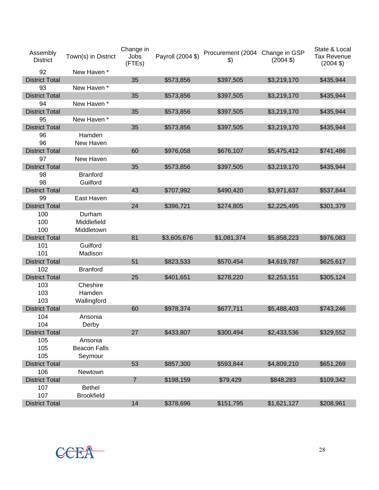| Assembly<br><b>District</b> | Town(s) in District | Change in<br>Jobs<br>(FTEs) | Payroll (2004 \$) | Procurement (2004 Change in GSP<br>$\mathcal{L}$ | $(2004 \text{ } $)$ | State & Local<br><b>Tax Revenue</b><br>$(2004 \text{ } $)$ |
|-----------------------------|---------------------|-----------------------------|-------------------|--------------------------------------------------|---------------------|------------------------------------------------------------|
| 92                          | New Haven *         |                             |                   |                                                  |                     |                                                            |
| <b>District Total</b>       |                     | 35                          | \$573,856         | \$397,505                                        | \$3,219,170         | \$435,944                                                  |
| 93                          | New Haven *         |                             |                   |                                                  |                     |                                                            |
| <b>District Total</b>       |                     | 35                          | \$573,856         | \$397,505                                        | \$3,219,170         | \$435,944                                                  |
| 94                          | New Haven *         |                             |                   |                                                  |                     |                                                            |
| <b>District Total</b>       |                     | 35                          | \$573,856         | \$397,505                                        | \$3,219,170         | \$435,944                                                  |
| 95                          | New Haven *         |                             |                   |                                                  |                     |                                                            |
| <b>District Total</b>       |                     | 35                          | \$573,856         | \$397,505                                        | \$3,219,170         | \$435,944                                                  |
| 96                          | Hamden              |                             |                   |                                                  |                     |                                                            |
| 96                          | New Haven           |                             |                   |                                                  |                     |                                                            |
| <b>District Total</b>       |                     | 60                          | \$976,058         | \$676,107                                        | \$5,475,412         | \$741,486                                                  |
| 97                          | New Haven           |                             |                   |                                                  |                     |                                                            |
| <b>District Total</b>       |                     | 35                          | \$573,856         | \$397,505                                        | \$3,219,170         | \$435,944                                                  |
| 98                          | <b>Branford</b>     |                             |                   |                                                  |                     |                                                            |
| 98                          | Guilford            |                             |                   |                                                  |                     |                                                            |
| <b>District Total</b>       |                     | 43                          | \$707,992         | \$490,420                                        | \$3,971,637         | \$537,844                                                  |
| 99                          | East Haven          |                             |                   |                                                  |                     |                                                            |
| <b>District Total</b>       |                     | 24                          | \$396,721         | \$274,805                                        | \$2,225,495         | \$301,379                                                  |
| 100                         | Durham              |                             |                   |                                                  |                     |                                                            |
| 100                         | Middlefield         |                             |                   |                                                  |                     |                                                            |
| 100                         | Middletown          |                             |                   |                                                  |                     |                                                            |
| <b>District Total</b>       |                     | 81                          | \$3,605,676       | \$1,081,374                                      | \$5,858,223         | \$976,083                                                  |
| 101                         | Guilford            |                             |                   |                                                  |                     |                                                            |
| 101                         | Madison             |                             |                   |                                                  |                     |                                                            |
| <b>District Total</b>       |                     | 51                          | \$823,533         | \$570,454                                        | \$4,619,787         | \$625,617                                                  |
| 102                         | <b>Branford</b>     |                             |                   |                                                  |                     |                                                            |
| <b>District Total</b>       |                     | 25                          | \$401,651         | \$278,220                                        | \$2,253,151         | \$305,124                                                  |
| 103                         | Cheshire            |                             |                   |                                                  |                     |                                                            |
| 103                         | Hamden              |                             |                   |                                                  |                     |                                                            |
| 103                         | Wallingford         |                             |                   |                                                  |                     |                                                            |
| <b>District Total</b>       |                     | 60                          | \$978,374         | \$677,711                                        | \$5,488,403         | \$743,246                                                  |
| 104                         | Ansonia             |                             |                   |                                                  |                     |                                                            |
| 104                         | Derby               |                             |                   |                                                  |                     |                                                            |
| <b>District Total</b>       |                     | 27                          | \$433,807         | \$300,494                                        | \$2,433,536         | \$329,552                                                  |
| 105                         | Ansonia             |                             |                   |                                                  |                     |                                                            |
| 105                         | <b>Beacon Falls</b> |                             |                   |                                                  |                     |                                                            |
| 105                         | Seymour             |                             |                   |                                                  |                     |                                                            |
| <b>District Total</b>       |                     | 53                          | \$857,300         | \$593,844                                        | \$4,809,210         | \$651,269                                                  |
| 106                         | Newtown             |                             |                   |                                                  |                     |                                                            |
| <b>District Total</b>       |                     | $\overline{7}$              | \$198,159         | \$79,429                                         | \$848,283           | \$109,342                                                  |
| 107                         | <b>Bethel</b>       |                             |                   |                                                  |                     |                                                            |
| 107                         | <b>Brookfield</b>   |                             |                   |                                                  |                     |                                                            |
| <b>District Total</b>       |                     | 14                          | \$378,696         | \$151,795                                        | \$1,621,127         | \$208,961                                                  |

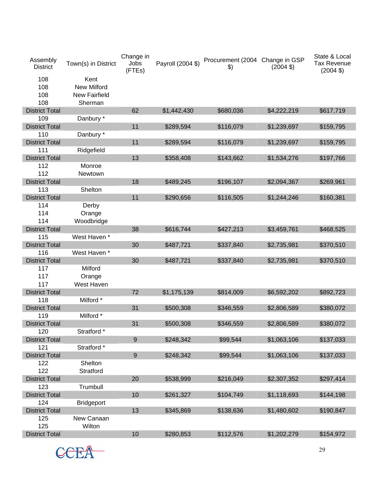| Assembly<br><b>District</b> | Town(s) in District  | Change in<br>Jobs<br>(FTEs) | Payroll (2004 \$) | Procurement (2004 Change in GSP<br>$\frac{1}{2}$ | $(2004 \text{ } $)$ | State & Local<br><b>Tax Revenue</b><br>$(2004 \text{ } $)$ |
|-----------------------------|----------------------|-----------------------------|-------------------|--------------------------------------------------|---------------------|------------------------------------------------------------|
| 108                         | Kent                 |                             |                   |                                                  |                     |                                                            |
| 108                         | <b>New Milford</b>   |                             |                   |                                                  |                     |                                                            |
| 108                         | <b>New Fairfield</b> |                             |                   |                                                  |                     |                                                            |
| 108                         | Sherman              |                             |                   |                                                  |                     |                                                            |
| <b>District Total</b>       |                      | 62                          | \$1,442,430       | \$680,036                                        | \$4,222,219         | \$617,719                                                  |
| 109                         | Danbury *            |                             |                   |                                                  |                     |                                                            |
| <b>District Total</b>       |                      | 11                          | \$289,594         | \$116,079                                        | \$1,239,697         | \$159,795                                                  |
| 110                         | Danbury *            |                             |                   |                                                  |                     |                                                            |
| <b>District Total</b>       |                      | 11                          | \$289,594         | \$116,079                                        | \$1,239,697         | \$159,795                                                  |
| 111                         | Ridgefield           |                             |                   |                                                  |                     |                                                            |
| <b>District Total</b>       |                      | 13                          | \$358,408         | \$143,662                                        | \$1,534,276         | \$197,766                                                  |
| 112                         | Monroe               |                             |                   |                                                  |                     |                                                            |
| 112                         | Newtown              |                             |                   |                                                  |                     |                                                            |
| <b>District Total</b>       |                      | 18                          | \$489,245         | \$196,107                                        | \$2,094,367         | \$269,961                                                  |
| 113                         | Shelton              |                             |                   |                                                  |                     |                                                            |
| <b>District Total</b>       |                      | 11                          | \$290,656         | \$116,505                                        | \$1,244,246         | \$160,381                                                  |
| 114                         | Derby                |                             |                   |                                                  |                     |                                                            |
| 114                         | Orange               |                             |                   |                                                  |                     |                                                            |
| 114                         | Woodbridge           |                             |                   |                                                  |                     |                                                            |
| <b>District Total</b>       |                      | 38                          | \$616,744         | \$427,213                                        | \$3,459,761         | \$468,525                                                  |
| 115                         | West Haven *         |                             |                   |                                                  |                     |                                                            |
| <b>District Total</b>       |                      | 30                          | \$487,721         | \$337,840                                        | \$2,735,981         | \$370,510                                                  |
| 116                         | West Haven *         |                             |                   |                                                  |                     |                                                            |
| <b>District Total</b>       |                      | 30                          |                   |                                                  |                     | \$370,510                                                  |
|                             | Milford              |                             | \$487,721         | \$337,840                                        | \$2,735,981         |                                                            |
| 117                         |                      |                             |                   |                                                  |                     |                                                            |
| 117<br>117                  | Orange               |                             |                   |                                                  |                     |                                                            |
|                             | West Haven           |                             |                   |                                                  |                     |                                                            |
| <b>District Total</b>       |                      | 72                          | \$1,175,139       | \$814,009                                        | \$6,592,202         | \$892,723                                                  |
| 118                         | Milford *            |                             |                   |                                                  |                     |                                                            |
| <b>District Total</b>       |                      | 31                          | \$500,308         | \$346,559                                        | \$2,806,589         | \$380,072                                                  |
| 119                         | Milford *            |                             |                   |                                                  |                     |                                                            |
| <b>District Total</b>       |                      | 31                          | \$500,308         | \$346,559                                        | \$2,806,589         | \$380,072                                                  |
| 120                         | Stratford *          |                             |                   |                                                  |                     |                                                            |
| <b>District Total</b>       |                      | $\boldsymbol{9}$            | \$248,342         | \$99,544                                         | \$1,063,106         | \$137,033                                                  |
| 121                         | Stratford *          |                             |                   |                                                  |                     |                                                            |
| <b>District Total</b>       |                      | $9\,$                       | \$248,342         | \$99,544                                         | \$1,063,106         | \$137,033                                                  |
| 122                         | Shelton              |                             |                   |                                                  |                     |                                                            |
| 122                         | Stratford            |                             |                   |                                                  |                     |                                                            |
| <b>District Total</b>       |                      | 20                          | \$538,999         | \$216,049                                        | \$2,307,352         | \$297,414                                                  |
| 123                         | Trumbull             |                             |                   |                                                  |                     |                                                            |
| <b>District Total</b>       |                      | 10                          | \$261,327         | \$104,749                                        | \$1,118,693         | \$144,198                                                  |
| 124                         | <b>Bridgeport</b>    |                             |                   |                                                  |                     |                                                            |
| <b>District Total</b>       |                      | 13                          | \$345,869         | \$138,636                                        | \$1,480,602         | \$190,847                                                  |
| 125                         | New Canaan           |                             |                   |                                                  |                     |                                                            |
| 125                         | Wilton               |                             |                   |                                                  |                     |                                                            |
| <b>District Total</b>       |                      | 10                          | \$280,853         | \$112,576                                        | \$1,202,279         | \$154,972                                                  |

CCEA<sup>29</sup>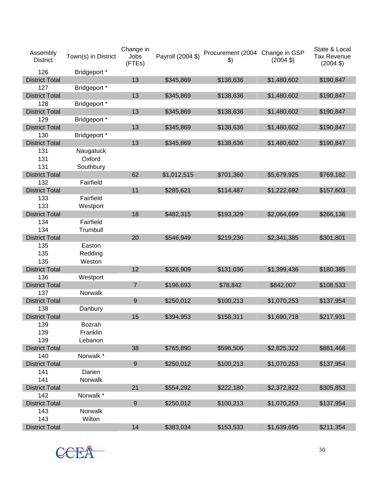| Assembly<br><b>District</b> | Town(s) in District | Change in<br>Jobs<br>(FTEs) | Payroll (2004 \$) | Procurement (2004 Change in GSP<br>$\mathcal{L}$ | $(2004 \text{ } $)$ | State & Local<br><b>Tax Revenue</b><br>$(2004 \text{ } $)$ |
|-----------------------------|---------------------|-----------------------------|-------------------|--------------------------------------------------|---------------------|------------------------------------------------------------|
| 126                         | Bridgeport *        |                             |                   |                                                  |                     |                                                            |
| <b>District Total</b>       |                     | 13                          | \$345,869         | \$138,636                                        | \$1,480,602         | \$190,847                                                  |
| 127                         | Bridgeport *        |                             |                   |                                                  |                     |                                                            |
| <b>District Total</b>       |                     | 13                          | \$345,869         | \$138,636                                        | \$1,480,602         | \$190,847                                                  |
| 128                         | Bridgeport *        |                             |                   |                                                  |                     |                                                            |
| <b>District Total</b>       |                     | 13                          | \$345,869         | \$138,636                                        | \$1,480,602         | \$190,847                                                  |
| 129                         | Bridgeport *        |                             |                   |                                                  |                     |                                                            |
| <b>District Total</b>       |                     | 13                          | \$345,869         | \$138,636                                        | \$1,480,602         | \$190,847                                                  |
| 130                         | Bridgeport *        |                             |                   |                                                  |                     |                                                            |
| <b>District Total</b>       |                     | 13                          | \$345,869         | \$138,636                                        | \$1,480,602         | \$190,847                                                  |
| 131                         | Naugatuck           |                             |                   |                                                  |                     |                                                            |
| 131                         | Oxford              |                             |                   |                                                  |                     |                                                            |
| 131                         | Southbury           |                             |                   |                                                  |                     |                                                            |
| <b>District Total</b>       |                     | 62                          | \$1,012,515       | \$701,360                                        | \$5,679,925         | \$769,182                                                  |
| 132                         | Fairfield           |                             |                   |                                                  |                     |                                                            |
| <b>District Total</b>       |                     | 11                          | \$285,621         | \$114,487                                        | \$1,222,692         | \$157,603                                                  |
| 133                         | Fairfield           |                             |                   |                                                  |                     |                                                            |
| 133                         | Westport            |                             |                   |                                                  |                     |                                                            |
| <b>District Total</b>       |                     | 18                          | \$482,315         | \$193,329                                        | \$2,064,699         | \$266,136                                                  |
| 134                         | Fairfield           |                             |                   |                                                  |                     |                                                            |
| 134                         | Trumbull            |                             |                   |                                                  |                     |                                                            |
| <b>District Total</b>       |                     | 20                          | \$546,949         | \$219,236                                        | \$2,341,385         | \$301,801                                                  |
| 135                         | Easton              |                             |                   |                                                  |                     |                                                            |
| 135                         | Redding             |                             |                   |                                                  |                     |                                                            |
| 135                         | Weston              |                             |                   |                                                  |                     |                                                            |
| <b>District Total</b>       |                     | 12                          | \$326,909         | \$131,036                                        | \$1,399,436         | \$180,385                                                  |
| 136                         | Westport            |                             |                   |                                                  |                     |                                                            |
| <b>District Total</b>       |                     | 7                           | \$196,693         | \$78,842                                         | \$842,007           | \$108,533                                                  |
| 137                         | Norwalk             |                             |                   |                                                  |                     |                                                            |
| <b>District Total</b>       |                     | 9                           | \$250,012         | \$100,213                                        | \$1,070,253         | \$137,954                                                  |
| 138                         | Danbury             |                             |                   |                                                  |                     |                                                            |
| <b>District Total</b>       |                     | 15                          | \$394,953         | \$158,311                                        | \$1,690,718         | \$217,931                                                  |
| 139                         | Bozrah              |                             |                   |                                                  |                     |                                                            |
| 139                         | Franklin            |                             |                   |                                                  |                     |                                                            |
| 139                         | Lebanon             |                             |                   |                                                  |                     |                                                            |
| <b>District Total</b>       |                     | 38                          | \$765,890         | \$596,506                                        | \$2,825,322         | \$881,468                                                  |
| 140                         | Norwalk *           |                             |                   |                                                  |                     |                                                            |
| <b>District Total</b>       |                     | $\overline{9}$              | \$250,012         | \$100,213                                        | \$1,070,253         | \$137,954                                                  |
| 141                         | Darien              |                             |                   |                                                  |                     |                                                            |
| 141                         | <b>Norwalk</b>      |                             |                   |                                                  |                     |                                                            |
| <b>District Total</b>       |                     | 21                          | \$554,292         | \$222,180                                        | \$2,372,822         | \$305,853                                                  |
| 142                         | Norwalk *           |                             |                   |                                                  |                     |                                                            |
| <b>District Total</b>       |                     | 9                           | \$250,012         | \$100,213                                        | \$1,070,253         | \$137,954                                                  |
| 143                         | Norwalk             |                             |                   |                                                  |                     |                                                            |
| 143                         | Wilton              |                             |                   |                                                  |                     |                                                            |
| <b>District Total</b>       |                     | 14                          | \$383,034         | \$153,533                                        | \$1,639,695         | \$211,354                                                  |

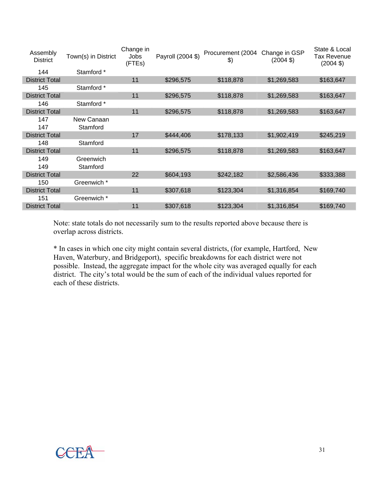| Assembly<br><b>District</b> | Town(s) in District | Change in<br>Jobs<br>(FTEs) | Payroll (2004 \$) | Procurement (2004<br>$\frac{1}{2}$ | Change in GSP<br>$(2004 \text{ } $)$ | State & Local<br>Tax Revenue<br>$(2004 \text{ } $)$ |
|-----------------------------|---------------------|-----------------------------|-------------------|------------------------------------|--------------------------------------|-----------------------------------------------------|
| 144                         | Stamford *          |                             |                   |                                    |                                      |                                                     |
| <b>District Total</b>       |                     | 11                          | \$296,575         | \$118,878                          | \$1,269,583                          | \$163,647                                           |
| 145                         | Stamford *          |                             |                   |                                    |                                      |                                                     |
| <b>District Total</b>       |                     | 11                          | \$296,575         | \$118,878                          | \$1,269,583                          | \$163,647                                           |
| 146                         | Stamford *          |                             |                   |                                    |                                      |                                                     |
| <b>District Total</b>       |                     | 11                          | \$296,575         | \$118,878                          | \$1,269,583                          | \$163,647                                           |
| 147                         | New Canaan          |                             |                   |                                    |                                      |                                                     |
| 147                         | Stamford            |                             |                   |                                    |                                      |                                                     |
| <b>District Total</b>       |                     | 17                          | \$444,406         | \$178,133                          | \$1,902,419                          | \$245,219                                           |
| 148                         | Stamford            |                             |                   |                                    |                                      |                                                     |
| <b>District Total</b>       |                     | 11                          | \$296,575         | \$118,878                          | \$1,269,583                          | \$163,647                                           |
| 149                         | Greenwich           |                             |                   |                                    |                                      |                                                     |
| 149                         | Stamford            |                             |                   |                                    |                                      |                                                     |
| <b>District Total</b>       |                     | 22                          | \$604,193         | \$242,182                          | \$2,586,436                          | \$333,388                                           |
| 150                         | Greenwich *         |                             |                   |                                    |                                      |                                                     |
| <b>District Total</b>       |                     | 11                          | \$307,618         | \$123,304                          | \$1,316,854                          | \$169,740                                           |
| 151                         | Greenwich *         |                             |                   |                                    |                                      |                                                     |
| <b>District Total</b>       |                     | 11                          | \$307,618         | \$123,304                          | \$1,316,854                          | \$169,740                                           |

Note: state totals do not necessarily sum to the results reported above because there is overlap across districts.

\* In cases in which one city might contain several districts, (for example, Hartford, New Haven, Waterbury, and Bridgeport), specific breakdowns for each district were not possible. Instead, the aggregate impact for the whole city was averaged equally for each district. The city's total would be the sum of each of the individual values reported for each of these districts.

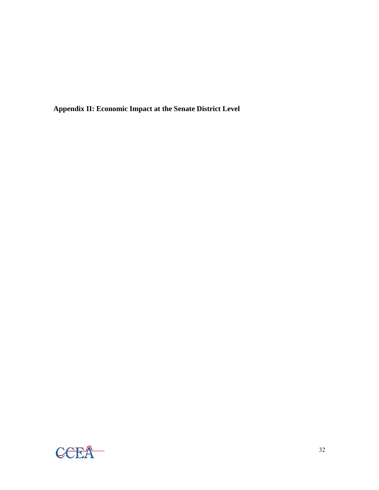**Appendix II: Economic Impact at the Senate District Level** 

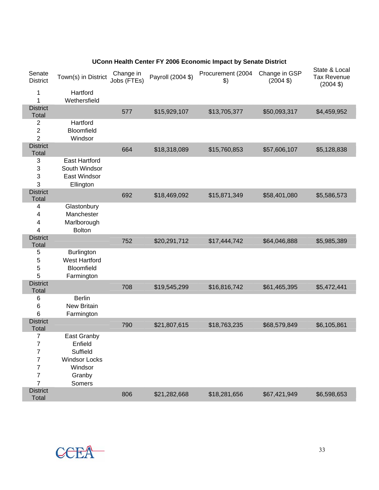| UConn Health Center FY 2006 Economic Impact by Senate District |                     |                          |                   |                   |                          |                                         |  |  |  |
|----------------------------------------------------------------|---------------------|--------------------------|-------------------|-------------------|--------------------------|-----------------------------------------|--|--|--|
| Senate<br><b>District</b>                                      | Town(s) in District | Change in<br>Jobs (FTEs) | Payroll (2004 \$) | Procurement (2004 | Change in GSP<br>(2004S) | State & Local<br>Tax Revenue<br>(2004S) |  |  |  |
|                                                                | Hartford            |                          |                   |                   |                          |                                         |  |  |  |

| $\mathbf{1}$<br>Wethersfield<br><b>District</b><br>577<br>\$15,929,107<br>\$13,705,377<br>\$50,093,317<br>\$4,459,952<br><b>Total</b><br>Hartford<br>$\overline{2}$<br>$\overline{\mathbf{c}}$<br>Bloomfield<br>$\overline{2}$<br>Windsor<br><b>District</b><br>664<br>\$18,318,089<br>\$15,760,853<br>\$57,606,107<br>\$5,128,838<br>Total<br>$\sqrt{3}$<br><b>East Hartford</b><br>3<br>South Windsor<br>3<br>East Windsor<br>3<br>Ellington<br><b>District</b><br>692<br>\$15,871,349<br>\$18,469,092<br>\$58,401,080<br>\$5,586,573<br><b>Total</b><br>Glastonbury<br>4<br>Manchester<br>4<br>4<br>Marlborough<br>4<br><b>Bolton</b><br><b>District</b><br>752<br>\$20,291,712<br>\$17,444,742<br>\$64,046,888<br>\$5,985,389<br>Total<br>5<br><b>Burlington</b><br>5<br><b>West Hartford</b><br>5<br>Bloomfield<br>5<br>Farmington<br><b>District</b><br>708<br>\$16,816,742<br>\$5,472,441<br>\$19,545,299<br>\$61,465,395<br><b>Total</b> |
|--------------------------------------------------------------------------------------------------------------------------------------------------------------------------------------------------------------------------------------------------------------------------------------------------------------------------------------------------------------------------------------------------------------------------------------------------------------------------------------------------------------------------------------------------------------------------------------------------------------------------------------------------------------------------------------------------------------------------------------------------------------------------------------------------------------------------------------------------------------------------------------------------------------------------------------------------|
|                                                                                                                                                                                                                                                                                                                                                                                                                                                                                                                                                                                                                                                                                                                                                                                                                                                                                                                                                  |
|                                                                                                                                                                                                                                                                                                                                                                                                                                                                                                                                                                                                                                                                                                                                                                                                                                                                                                                                                  |
|                                                                                                                                                                                                                                                                                                                                                                                                                                                                                                                                                                                                                                                                                                                                                                                                                                                                                                                                                  |
|                                                                                                                                                                                                                                                                                                                                                                                                                                                                                                                                                                                                                                                                                                                                                                                                                                                                                                                                                  |
|                                                                                                                                                                                                                                                                                                                                                                                                                                                                                                                                                                                                                                                                                                                                                                                                                                                                                                                                                  |
|                                                                                                                                                                                                                                                                                                                                                                                                                                                                                                                                                                                                                                                                                                                                                                                                                                                                                                                                                  |
|                                                                                                                                                                                                                                                                                                                                                                                                                                                                                                                                                                                                                                                                                                                                                                                                                                                                                                                                                  |
|                                                                                                                                                                                                                                                                                                                                                                                                                                                                                                                                                                                                                                                                                                                                                                                                                                                                                                                                                  |
|                                                                                                                                                                                                                                                                                                                                                                                                                                                                                                                                                                                                                                                                                                                                                                                                                                                                                                                                                  |
|                                                                                                                                                                                                                                                                                                                                                                                                                                                                                                                                                                                                                                                                                                                                                                                                                                                                                                                                                  |
|                                                                                                                                                                                                                                                                                                                                                                                                                                                                                                                                                                                                                                                                                                                                                                                                                                                                                                                                                  |
|                                                                                                                                                                                                                                                                                                                                                                                                                                                                                                                                                                                                                                                                                                                                                                                                                                                                                                                                                  |
|                                                                                                                                                                                                                                                                                                                                                                                                                                                                                                                                                                                                                                                                                                                                                                                                                                                                                                                                                  |
|                                                                                                                                                                                                                                                                                                                                                                                                                                                                                                                                                                                                                                                                                                                                                                                                                                                                                                                                                  |
|                                                                                                                                                                                                                                                                                                                                                                                                                                                                                                                                                                                                                                                                                                                                                                                                                                                                                                                                                  |
|                                                                                                                                                                                                                                                                                                                                                                                                                                                                                                                                                                                                                                                                                                                                                                                                                                                                                                                                                  |
|                                                                                                                                                                                                                                                                                                                                                                                                                                                                                                                                                                                                                                                                                                                                                                                                                                                                                                                                                  |
|                                                                                                                                                                                                                                                                                                                                                                                                                                                                                                                                                                                                                                                                                                                                                                                                                                                                                                                                                  |
|                                                                                                                                                                                                                                                                                                                                                                                                                                                                                                                                                                                                                                                                                                                                                                                                                                                                                                                                                  |
|                                                                                                                                                                                                                                                                                                                                                                                                                                                                                                                                                                                                                                                                                                                                                                                                                                                                                                                                                  |
|                                                                                                                                                                                                                                                                                                                                                                                                                                                                                                                                                                                                                                                                                                                                                                                                                                                                                                                                                  |
|                                                                                                                                                                                                                                                                                                                                                                                                                                                                                                                                                                                                                                                                                                                                                                                                                                                                                                                                                  |
|                                                                                                                                                                                                                                                                                                                                                                                                                                                                                                                                                                                                                                                                                                                                                                                                                                                                                                                                                  |
| 6<br><b>Berlin</b>                                                                                                                                                                                                                                                                                                                                                                                                                                                                                                                                                                                                                                                                                                                                                                                                                                                                                                                               |
| 6<br>New Britain<br>6                                                                                                                                                                                                                                                                                                                                                                                                                                                                                                                                                                                                                                                                                                                                                                                                                                                                                                                            |
| Farmington<br><b>District</b>                                                                                                                                                                                                                                                                                                                                                                                                                                                                                                                                                                                                                                                                                                                                                                                                                                                                                                                    |
| 790<br>\$21,807,615<br>\$18,763,235<br>\$68,579,849<br>\$6,105,861<br>Total                                                                                                                                                                                                                                                                                                                                                                                                                                                                                                                                                                                                                                                                                                                                                                                                                                                                      |
| $\overline{7}$<br>East Granby                                                                                                                                                                                                                                                                                                                                                                                                                                                                                                                                                                                                                                                                                                                                                                                                                                                                                                                    |
| $\overline{7}$<br>Enfield                                                                                                                                                                                                                                                                                                                                                                                                                                                                                                                                                                                                                                                                                                                                                                                                                                                                                                                        |
| $\overline{\mathbf{7}}$<br>Suffield                                                                                                                                                                                                                                                                                                                                                                                                                                                                                                                                                                                                                                                                                                                                                                                                                                                                                                              |
| $\overline{7}$<br><b>Windsor Locks</b>                                                                                                                                                                                                                                                                                                                                                                                                                                                                                                                                                                                                                                                                                                                                                                                                                                                                                                           |
| $\overline{7}$<br>Windsor                                                                                                                                                                                                                                                                                                                                                                                                                                                                                                                                                                                                                                                                                                                                                                                                                                                                                                                        |
| $\overline{7}$<br>Granby                                                                                                                                                                                                                                                                                                                                                                                                                                                                                                                                                                                                                                                                                                                                                                                                                                                                                                                         |
| $\overline{7}$<br>Somers                                                                                                                                                                                                                                                                                                                                                                                                                                                                                                                                                                                                                                                                                                                                                                                                                                                                                                                         |
| <b>District</b><br>806<br>\$21,282,668<br>\$18,281,656<br>\$67,421,949<br>\$6,598,653<br>Total                                                                                                                                                                                                                                                                                                                                                                                                                                                                                                                                                                                                                                                                                                                                                                                                                                                   |



Senate<br>District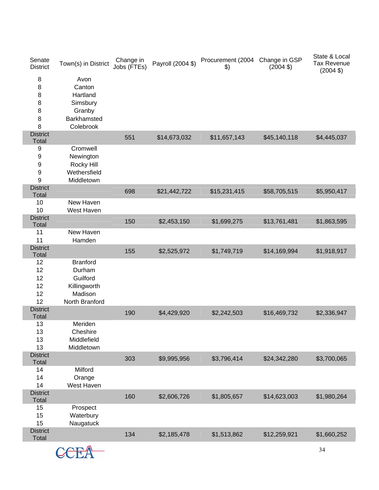| Senate<br><b>District</b>             | Town(s) in District                                                                | Change in<br>Jobs (FTEs) | Payroll (2004 \$) | Procurement (2004<br>$\frac{1}{2}$ | Change in GSP<br>$(2004 \text{ } $)$ | State & Local<br><b>Tax Revenue</b><br>$(2004 \text{ } $)$ |
|---------------------------------------|------------------------------------------------------------------------------------|--------------------------|-------------------|------------------------------------|--------------------------------------|------------------------------------------------------------|
| $\,8\,$<br>8<br>8<br>8<br>8<br>8<br>8 | Avon<br>Canton<br>Hartland<br>Simsbury<br>Granby<br>Barkhamsted<br>Colebrook       |                          |                   |                                    |                                      |                                                            |
| <b>District</b><br>Total              |                                                                                    | 551                      | \$14,673,032      | \$11,657,143                       | \$45,140,118                         | \$4,445,037                                                |
| 9                                     | Cromwell                                                                           |                          |                   |                                    |                                      |                                                            |
| 9<br>9<br>9<br>9                      | Newington<br>Rocky Hill<br>Wethersfield<br>Middletown                              |                          |                   |                                    |                                      |                                                            |
| <b>District</b><br><b>Total</b>       |                                                                                    | 698                      | \$21,442,722      | \$15,231,415                       | \$58,705,515                         | \$5,950,417                                                |
| 10<br>10                              | New Haven<br>West Haven                                                            |                          |                   |                                    |                                      |                                                            |
| <b>District</b><br>Total              |                                                                                    | 150                      | \$2,453,150       | \$1,699,275                        | \$13,761,481                         | \$1,863,595                                                |
| 11<br>11                              | New Haven<br>Hamden                                                                |                          |                   |                                    |                                      |                                                            |
| <b>District</b><br><b>Total</b>       |                                                                                    | 155                      | \$2,525,972       | \$1,749,719                        | \$14,169,994                         | \$1,918,917                                                |
| 12<br>12<br>12<br>12<br>12<br>12      | <b>Branford</b><br>Durham<br>Guilford<br>Killingworth<br>Madison<br>North Branford |                          |                   |                                    |                                      |                                                            |
| <b>District</b><br>Total              |                                                                                    | 190                      | \$4,429,920       | \$2,242,503                        | \$16,469,732                         | \$2,336,947                                                |
| 13<br>13<br>13<br>13                  | Meriden<br>Cheshire<br>Middlefield<br>Middletown                                   |                          |                   |                                    |                                      |                                                            |
| <b>District</b><br>Total              |                                                                                    | 303                      | \$9,995,956       | \$3,796,414                        | \$24,342,280                         | \$3,700,065                                                |
| 14<br>14<br>14                        | Milford<br>Orange<br>West Haven                                                    |                          |                   |                                    |                                      |                                                            |
| <b>District</b><br>Total              |                                                                                    | 160                      | \$2,606,726       | \$1,805,657                        | \$14,623,003                         | \$1,980,264                                                |
| 15<br>15<br>15                        | Prospect<br>Waterbury<br>Naugatuck                                                 |                          |                   |                                    |                                      |                                                            |
| <b>District</b><br>Total              |                                                                                    | 134                      | \$2,185,478       | \$1,513,862                        | \$12,259,921                         | \$1,660,252                                                |
|                                       |                                                                                    |                          |                   |                                    |                                      |                                                            |

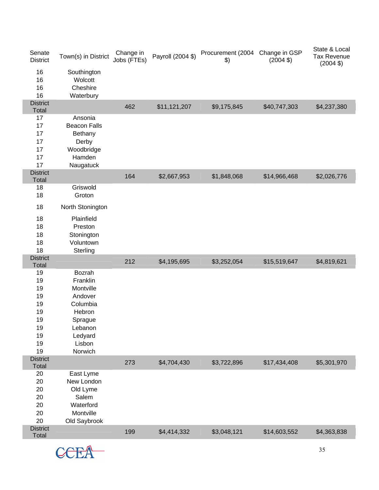| Senate<br><b>District</b> | Town(s) in District     | Change in<br>Jobs (FTEs) | Payroll (2004 \$) | Procurement (2004 Change in GSP<br>\$) | $(2004 \text{ } $)$ | State & Local<br>Tax Revenue<br>$(2004 \text{ } $)$ |
|---------------------------|-------------------------|--------------------------|-------------------|----------------------------------------|---------------------|-----------------------------------------------------|
| 16                        | Southington             |                          |                   |                                        |                     |                                                     |
| 16                        | Wolcott                 |                          |                   |                                        |                     |                                                     |
| 16                        | Cheshire                |                          |                   |                                        |                     |                                                     |
| 16                        | Waterbury               |                          |                   |                                        |                     |                                                     |
| <b>District</b>           |                         | 462                      | \$11,121,207      | \$9,175,845                            | \$40,747,303        | \$4,237,380                                         |
| Total<br>17               | Ansonia                 |                          |                   |                                        |                     |                                                     |
| 17                        | <b>Beacon Falls</b>     |                          |                   |                                        |                     |                                                     |
| 17                        |                         |                          |                   |                                        |                     |                                                     |
| 17                        | <b>Bethany</b><br>Derby |                          |                   |                                        |                     |                                                     |
| 17                        | Woodbridge              |                          |                   |                                        |                     |                                                     |
| 17                        | Hamden                  |                          |                   |                                        |                     |                                                     |
| 17                        | Naugatuck               |                          |                   |                                        |                     |                                                     |
| <b>District</b>           |                         |                          |                   |                                        |                     |                                                     |
| <b>Total</b>              |                         | 164                      | \$2,667,953       | \$1,848,068                            | \$14,966,468        | \$2,026,776                                         |
| 18                        | Griswold                |                          |                   |                                        |                     |                                                     |
| 18                        | Groton                  |                          |                   |                                        |                     |                                                     |
| 18                        | North Stonington        |                          |                   |                                        |                     |                                                     |
| 18                        | Plainfield              |                          |                   |                                        |                     |                                                     |
| 18                        | Preston                 |                          |                   |                                        |                     |                                                     |
| 18                        | Stonington              |                          |                   |                                        |                     |                                                     |
| 18                        | Voluntown               |                          |                   |                                        |                     |                                                     |
| 18                        | Sterling                |                          |                   |                                        |                     |                                                     |
| <b>District</b>           |                         | 212                      | \$4,195,695       | \$3,252,054                            | \$15,519,647        | \$4,819,621                                         |
| Total                     | Bozrah                  |                          |                   |                                        |                     |                                                     |
| 19<br>19                  | Franklin                |                          |                   |                                        |                     |                                                     |
| 19                        | Montville               |                          |                   |                                        |                     |                                                     |
| 19                        | Andover                 |                          |                   |                                        |                     |                                                     |
| 19                        | Columbia                |                          |                   |                                        |                     |                                                     |
| 19                        | Hebron                  |                          |                   |                                        |                     |                                                     |
| 19                        | Sprague                 |                          |                   |                                        |                     |                                                     |
| 19                        | Lebanon                 |                          |                   |                                        |                     |                                                     |
| 19                        | Ledyard                 |                          |                   |                                        |                     |                                                     |
| 19                        | Lisbon                  |                          |                   |                                        |                     |                                                     |
| 19                        | Norwich                 |                          |                   |                                        |                     |                                                     |
| <b>District</b>           |                         | 273                      | \$4,704,430       | \$3,722,896                            | \$17,434,408        | \$5,301,970                                         |
| Total                     |                         |                          |                   |                                        |                     |                                                     |
| 20                        | East Lyme               |                          |                   |                                        |                     |                                                     |
| 20                        | New London              |                          |                   |                                        |                     |                                                     |
| 20                        | Old Lyme                |                          |                   |                                        |                     |                                                     |
| 20                        | Salem                   |                          |                   |                                        |                     |                                                     |
| 20                        | Waterford               |                          |                   |                                        |                     |                                                     |
| 20                        | Montville               |                          |                   |                                        |                     |                                                     |
| 20                        | Old Saybrook            |                          |                   |                                        |                     |                                                     |
| <b>District</b><br>Total  |                         | 199                      | \$4,414,332       | \$3,048,121                            | \$14,603,552        | \$4,363,838                                         |
|                           |                         |                          |                   |                                        |                     |                                                     |

CCEA<sup>35</sup>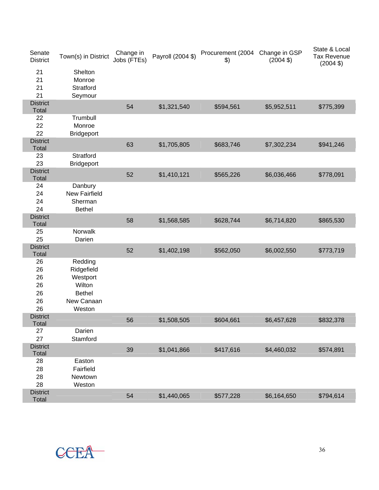| Senate<br><b>District</b>              | Town(s) in District                                                                  | Change in<br>Jobs (FTEs) | Payroll (2004 \$) | Procurement (2004 Change in GSP<br>\$) | $(2004 \text{ } $)$ | State & Local<br><b>Tax Revenue</b><br>$(2004 \text{ } $)$ |
|----------------------------------------|--------------------------------------------------------------------------------------|--------------------------|-------------------|----------------------------------------|---------------------|------------------------------------------------------------|
| 21<br>21<br>21<br>21                   | Shelton<br>Monroe<br>Stratford<br>Seymour                                            |                          |                   |                                        |                     |                                                            |
| <b>District</b><br>Total               |                                                                                      | 54                       | \$1,321,540       | \$594,561                              | \$5,952,511         | \$775,399                                                  |
| 22<br>22<br>22                         | Trumbull<br>Monroe<br><b>Bridgeport</b>                                              |                          |                   |                                        |                     |                                                            |
| <b>District</b><br><b>Total</b>        |                                                                                      | 63                       | \$1,705,805       | \$683,746                              | \$7,302,234         | \$941,246                                                  |
| 23<br>23                               | Stratford<br><b>Bridgeport</b>                                                       |                          |                   |                                        |                     |                                                            |
| <b>District</b><br><b>Total</b>        |                                                                                      | 52                       | \$1,410,121       | \$565,226                              | \$6,036,466         | \$778,091                                                  |
| 24<br>24<br>24<br>24                   | Danbury<br><b>New Fairfield</b><br>Sherman<br><b>Bethel</b>                          |                          |                   |                                        |                     |                                                            |
| <b>District</b><br><b>Total</b>        |                                                                                      | 58                       | \$1,568,585       | \$628,744                              | \$6,714,820         | \$865,530                                                  |
| 25<br>25                               | Norwalk<br>Darien                                                                    |                          |                   |                                        |                     |                                                            |
| <b>District</b><br><b>Total</b>        |                                                                                      | 52                       | \$1,402,198       | \$562,050                              | \$6,002,550         | \$773,719                                                  |
| 26<br>26<br>26<br>26<br>26<br>26<br>26 | Redding<br>Ridgefield<br>Westport<br>Wilton<br><b>Bethel</b><br>New Canaan<br>Weston |                          |                   |                                        |                     |                                                            |
| <b>District</b><br>Total               |                                                                                      | 56                       | \$1,508,505       | \$604,661                              | \$6,457,628         | \$832,378                                                  |
| 27<br>27                               | Darien<br>Stamford                                                                   |                          |                   |                                        |                     |                                                            |
| <b>District</b><br>Total               |                                                                                      | 39                       | \$1,041,866       | \$417,616                              | \$4,460,032         | \$574,891                                                  |
| 28<br>28<br>28<br>28                   | Easton<br>Fairfield<br>Newtown<br>Weston                                             |                          |                   |                                        |                     |                                                            |
| <b>District</b><br>Total               |                                                                                      | 54                       | \$1,440,065       | \$577,228                              | \$6,164,650         | \$794,614                                                  |

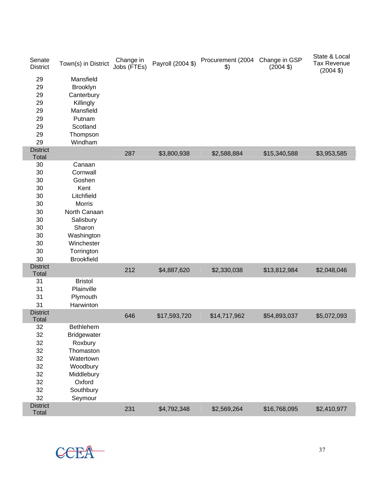| Senate<br><b>District</b>       | Town(s) in District | Change in<br>Jobs (FTEs) | Payroll (2004 \$) | Procurement (2004<br>\$) | Change in GSP<br>$(2004 \text{ } $)$ | State & Local<br><b>Tax Revenue</b><br>$(2004 \text{ } $)$ |
|---------------------------------|---------------------|--------------------------|-------------------|--------------------------|--------------------------------------|------------------------------------------------------------|
| 29                              | Mansfield           |                          |                   |                          |                                      |                                                            |
| 29                              | Brooklyn            |                          |                   |                          |                                      |                                                            |
| 29                              | Canterbury          |                          |                   |                          |                                      |                                                            |
| 29                              | Killingly           |                          |                   |                          |                                      |                                                            |
| 29                              | Mansfield           |                          |                   |                          |                                      |                                                            |
| 29                              | Putnam              |                          |                   |                          |                                      |                                                            |
| 29                              | Scotland            |                          |                   |                          |                                      |                                                            |
| 29                              | Thompson            |                          |                   |                          |                                      |                                                            |
| 29                              | Windham             |                          |                   |                          |                                      |                                                            |
| <b>District</b>                 |                     | 287                      | \$3,800,938       | \$2,588,884              | \$15,340,588                         | \$3,953,585                                                |
| <b>Total</b>                    |                     |                          |                   |                          |                                      |                                                            |
| 30                              | Canaan              |                          |                   |                          |                                      |                                                            |
| 30                              | Cornwall            |                          |                   |                          |                                      |                                                            |
| 30                              | Goshen              |                          |                   |                          |                                      |                                                            |
| 30                              | Kent                |                          |                   |                          |                                      |                                                            |
| 30                              | Litchfield          |                          |                   |                          |                                      |                                                            |
| 30                              | <b>Morris</b>       |                          |                   |                          |                                      |                                                            |
| 30                              | North Canaan        |                          |                   |                          |                                      |                                                            |
| 30                              | Salisbury           |                          |                   |                          |                                      |                                                            |
| 30                              | Sharon              |                          |                   |                          |                                      |                                                            |
| 30                              | Washington          |                          |                   |                          |                                      |                                                            |
| 30                              | Winchester          |                          |                   |                          |                                      |                                                            |
| 30                              | Torrington          |                          |                   |                          |                                      |                                                            |
| 30                              | <b>Brookfield</b>   |                          |                   |                          |                                      |                                                            |
| <b>District</b><br><b>Total</b> |                     | 212                      | \$4,887,620       | \$2,330,038              | \$13,812,984                         | \$2,048,046                                                |
| 31                              | <b>Bristol</b>      |                          |                   |                          |                                      |                                                            |
| 31                              | Plainville          |                          |                   |                          |                                      |                                                            |
| 31                              | Plymouth            |                          |                   |                          |                                      |                                                            |
| 31                              | Harwinton           |                          |                   |                          |                                      |                                                            |
| <b>District</b>                 |                     |                          |                   |                          |                                      |                                                            |
| <b>Total</b>                    |                     | 646                      | \$17,593,720      | \$14,717,962             | \$54,893,037                         | \$5,072,093                                                |
| 32                              | Bethlehem           |                          |                   |                          |                                      |                                                            |
| 32                              | Bridgewater         |                          |                   |                          |                                      |                                                            |
| 32                              | Roxbury             |                          |                   |                          |                                      |                                                            |
| 32                              | Thomaston           |                          |                   |                          |                                      |                                                            |
| 32                              | Watertown           |                          |                   |                          |                                      |                                                            |
| 32                              | Woodbury            |                          |                   |                          |                                      |                                                            |
| 32                              | Middlebury          |                          |                   |                          |                                      |                                                            |
| 32                              | Oxford              |                          |                   |                          |                                      |                                                            |
| 32                              | Southbury           |                          |                   |                          |                                      |                                                            |
| 32                              | Seymour             |                          |                   |                          |                                      |                                                            |
| <b>District</b>                 |                     | 231                      | \$4,792,348       | \$2,569,264              | \$16,768,095                         | \$2,410,977                                                |
| Total                           |                     |                          |                   |                          |                                      |                                                            |

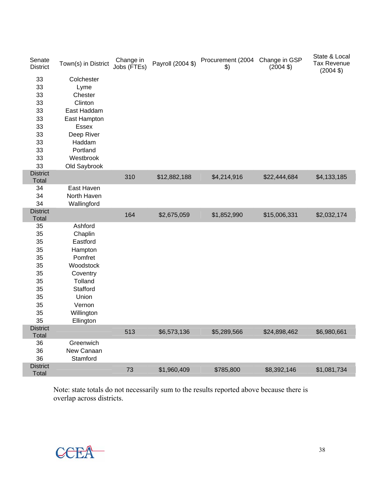| Senate<br><b>District</b> | Town(s) in District                      | Change in<br>Jobs (FTEs) | Payroll (2004 \$) | Procurement (2004<br>$\frac{1}{2}$ | Change in GSP<br>$(2004 \text{ } $)$ | State & Local<br><b>Tax Revenue</b><br>$(2004 \text{ } $)$ |
|---------------------------|------------------------------------------|--------------------------|-------------------|------------------------------------|--------------------------------------|------------------------------------------------------------|
| 33<br>33<br>33<br>33      | Colchester<br>Lyme<br>Chester<br>Clinton |                          |                   |                                    |                                      |                                                            |
| 33                        | East Haddam                              |                          |                   |                                    |                                      |                                                            |
| 33                        | East Hampton                             |                          |                   |                                    |                                      |                                                            |
| 33                        | Essex                                    |                          |                   |                                    |                                      |                                                            |
| 33                        | Deep River                               |                          |                   |                                    |                                      |                                                            |
| 33                        | Haddam                                   |                          |                   |                                    |                                      |                                                            |
| 33                        | Portland                                 |                          |                   |                                    |                                      |                                                            |
| 33                        | Westbrook                                |                          |                   |                                    |                                      |                                                            |
| 33                        | Old Saybrook                             |                          |                   |                                    |                                      |                                                            |
| <b>District</b><br>Total  |                                          | 310                      | \$12,882,188      | \$4,214,916                        | \$22,444,684                         | \$4,133,185                                                |
| 34                        | East Haven                               |                          |                   |                                    |                                      |                                                            |
| 34                        | North Haven                              |                          |                   |                                    |                                      |                                                            |
| 34                        | Wallingford                              |                          |                   |                                    |                                      |                                                            |
| <b>District</b>           |                                          | 164                      | \$2,675,059       | \$1,852,990                        | \$15,006,331                         | \$2,032,174                                                |
| Total                     |                                          |                          |                   |                                    |                                      |                                                            |
| 35                        | Ashford                                  |                          |                   |                                    |                                      |                                                            |
| 35                        | Chaplin                                  |                          |                   |                                    |                                      |                                                            |
| 35                        | Eastford                                 |                          |                   |                                    |                                      |                                                            |
| 35                        | Hampton                                  |                          |                   |                                    |                                      |                                                            |
| 35                        | Pomfret                                  |                          |                   |                                    |                                      |                                                            |
| 35                        | Woodstock                                |                          |                   |                                    |                                      |                                                            |
| 35                        | Coventry                                 |                          |                   |                                    |                                      |                                                            |
| 35                        | Tolland                                  |                          |                   |                                    |                                      |                                                            |
| 35                        | Stafford                                 |                          |                   |                                    |                                      |                                                            |
| 35                        | Union<br>Vernon                          |                          |                   |                                    |                                      |                                                            |
| 35<br>35                  |                                          |                          |                   |                                    |                                      |                                                            |
| 35                        | Willington                               |                          |                   |                                    |                                      |                                                            |
| <b>District</b>           | Ellington                                |                          |                   |                                    |                                      |                                                            |
| Total                     |                                          | 513                      | \$6,573,136       | \$5,289,566                        | \$24,898,462                         | \$6,980,661                                                |
| 36                        | Greenwich                                |                          |                   |                                    |                                      |                                                            |
| 36                        | New Canaan                               |                          |                   |                                    |                                      |                                                            |
| 36                        | Stamford                                 |                          |                   |                                    |                                      |                                                            |
| <b>District</b><br>Total  |                                          | 73                       | \$1,960,409       | \$785,800                          | \$8,392,146                          | \$1,081,734                                                |

Note: state totals do not necessarily sum to the results reported above because there is overlap across districts.



ſ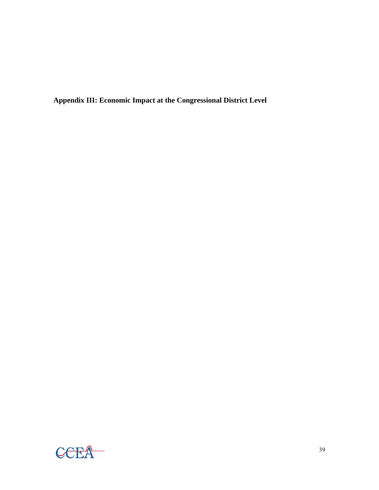**Appendix III: Economic Impact at the Congressional District Level** 

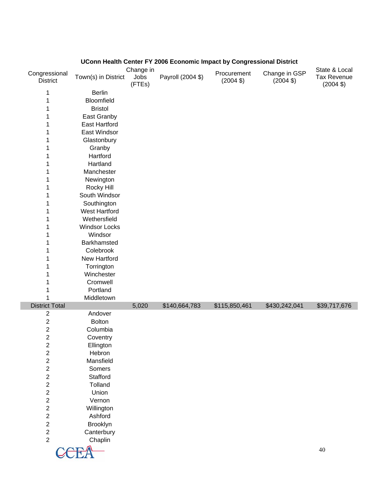| Congressional<br><b>District</b> | Town(s) in District  | Change in<br>Jobs<br>(FTEs) | Payroll (2004 \$) | Procurement<br>$(2004 \text{ } $)$ | Change in GSP<br>$(2004 \text{ } $)$ | State & Local<br><b>Tax Revenue</b><br>$(2004 \text{ } $)$ |
|----------------------------------|----------------------|-----------------------------|-------------------|------------------------------------|--------------------------------------|------------------------------------------------------------|
| 1                                | <b>Berlin</b>        |                             |                   |                                    |                                      |                                                            |
| 1                                | Bloomfield           |                             |                   |                                    |                                      |                                                            |
| 1                                | <b>Bristol</b>       |                             |                   |                                    |                                      |                                                            |
| 1                                | East Granby          |                             |                   |                                    |                                      |                                                            |
| 1                                | <b>East Hartford</b> |                             |                   |                                    |                                      |                                                            |
| 1                                | East Windsor         |                             |                   |                                    |                                      |                                                            |
| 1                                | Glastonbury          |                             |                   |                                    |                                      |                                                            |
| 1                                | Granby               |                             |                   |                                    |                                      |                                                            |
| 1                                | Hartford             |                             |                   |                                    |                                      |                                                            |
| 1                                | Hartland             |                             |                   |                                    |                                      |                                                            |
|                                  | Manchester           |                             |                   |                                    |                                      |                                                            |
| 1                                |                      |                             |                   |                                    |                                      |                                                            |
| 1                                | Newington            |                             |                   |                                    |                                      |                                                            |
| 1                                | Rocky Hill           |                             |                   |                                    |                                      |                                                            |
| 1                                | South Windsor        |                             |                   |                                    |                                      |                                                            |
| 1                                | Southington          |                             |                   |                                    |                                      |                                                            |
| 1                                | <b>West Hartford</b> |                             |                   |                                    |                                      |                                                            |
| 1                                | Wethersfield         |                             |                   |                                    |                                      |                                                            |
| 1                                | <b>Windsor Locks</b> |                             |                   |                                    |                                      |                                                            |
| 1                                | Windsor              |                             |                   |                                    |                                      |                                                            |
| 1                                | Barkhamsted          |                             |                   |                                    |                                      |                                                            |
| 1                                | Colebrook            |                             |                   |                                    |                                      |                                                            |
| 1                                | New Hartford         |                             |                   |                                    |                                      |                                                            |
| 1                                | Torrington           |                             |                   |                                    |                                      |                                                            |
| 1                                | Winchester           |                             |                   |                                    |                                      |                                                            |
| 1                                | Cromwell             |                             |                   |                                    |                                      |                                                            |
|                                  | Portland             |                             |                   |                                    |                                      |                                                            |
|                                  | Middletown           |                             |                   |                                    |                                      |                                                            |
| <b>District Total</b>            |                      | 5,020                       | \$140,664,783     | \$115,850,461                      | \$430,242,041                        | \$39,717,676                                               |
| $\overline{c}$                   | Andover              |                             |                   |                                    |                                      |                                                            |
| $\sqrt{2}$                       | <b>Bolton</b>        |                             |                   |                                    |                                      |                                                            |
| $\boldsymbol{2}$                 | Columbia             |                             |                   |                                    |                                      |                                                            |
| $\overline{2}$                   | Coventry             |                             |                   |                                    |                                      |                                                            |
| $\overline{\mathbf{c}}$          | Ellington            |                             |                   |                                    |                                      |                                                            |
| $\sqrt{2}$                       | Hebron               |                             |                   |                                    |                                      |                                                            |
| $\overline{c}$                   | Mansfield            |                             |                   |                                    |                                      |                                                            |
| $\overline{c}$                   | Somers               |                             |                   |                                    |                                      |                                                            |
| $\boldsymbol{2}$                 | Stafford             |                             |                   |                                    |                                      |                                                            |
| $\sqrt{2}$                       | Tolland              |                             |                   |                                    |                                      |                                                            |
| $\sqrt{2}$                       | Union                |                             |                   |                                    |                                      |                                                            |
| $\boldsymbol{2}$                 | Vernon               |                             |                   |                                    |                                      |                                                            |
| $\boldsymbol{2}$                 | Willington           |                             |                   |                                    |                                      |                                                            |
| $\overline{\mathbf{c}}$          | Ashford              |                             |                   |                                    |                                      |                                                            |
| $\overline{c}$                   | Brooklyn             |                             |                   |                                    |                                      |                                                            |
| $\sqrt{2}$                       | Canterbury           |                             |                   |                                    |                                      |                                                            |
| $\overline{2}$                   | Chaplin              |                             |                   |                                    |                                      |                                                            |
|                                  |                      |                             |                   |                                    |                                      | $40\,$                                                     |
|                                  |                      |                             |                   |                                    |                                      |                                                            |

# **UConn Health Center FY 2006 Economic Impact by Congressional District**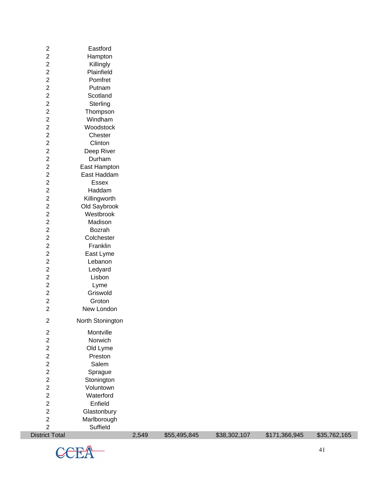| <b>District Total</b>   |                  | 2,549 | \$55,495,845 | \$38,302,107 | \$171,366,945 | \$35,762,165 |
|-------------------------|------------------|-------|--------------|--------------|---------------|--------------|
| $\overline{2}$          | Suffield         |       |              |              |               |              |
| $\boldsymbol{2}$        | Marlborough      |       |              |              |               |              |
| $\boldsymbol{2}$        | Glastonbury      |       |              |              |               |              |
| $\boldsymbol{2}$        | Enfield          |       |              |              |               |              |
| $\overline{c}$          | Waterford        |       |              |              |               |              |
| $\overline{2}$          | Voluntown        |       |              |              |               |              |
| $\overline{c}$          | Stonington       |       |              |              |               |              |
| $\boldsymbol{2}$        | Sprague          |       |              |              |               |              |
| $\boldsymbol{2}$        | Salem            |       |              |              |               |              |
| $\overline{\mathbf{c}}$ | Preston          |       |              |              |               |              |
| $\boldsymbol{2}$        | Old Lyme         |       |              |              |               |              |
| $\boldsymbol{2}$        | Norwich          |       |              |              |               |              |
| $\sqrt{2}$              | Montville        |       |              |              |               |              |
|                         | North Stonington |       |              |              |               |              |
| $\overline{2}$          |                  |       |              |              |               |              |
| $\boldsymbol{2}$        | New London       |       |              |              |               |              |
| $\boldsymbol{2}$        | Groton           |       |              |              |               |              |
| $\boldsymbol{2}$        | Griswold         |       |              |              |               |              |
| $\sqrt{2}$              | Lyme             |       |              |              |               |              |
| $\mathbf 2$             | Lisbon           |       |              |              |               |              |
| $\boldsymbol{2}$        | Ledyard          |       |              |              |               |              |
| $\boldsymbol{2}$        | Lebanon          |       |              |              |               |              |
| $\boldsymbol{2}$        | East Lyme        |       |              |              |               |              |
| $\boldsymbol{2}$        | Franklin         |       |              |              |               |              |
| $\sqrt{2}$              | Colchester       |       |              |              |               |              |
| $\boldsymbol{2}$        | Bozrah           |       |              |              |               |              |
| $\boldsymbol{2}$        | Madison          |       |              |              |               |              |
| $\boldsymbol{2}$        | Westbrook        |       |              |              |               |              |
| $\overline{2}$          | Old Saybrook     |       |              |              |               |              |
| $\overline{c}$          | Killingworth     |       |              |              |               |              |
| $\boldsymbol{2}$        | Haddam           |       |              |              |               |              |
| $\boldsymbol{2}$        | Essex            |       |              |              |               |              |
| $\sqrt{2}$              | East Haddam      |       |              |              |               |              |
| $\boldsymbol{2}$        | East Hampton     |       |              |              |               |              |
| $\mathbf 2$             | Durham           |       |              |              |               |              |
| $\sqrt{2}$              | Deep River       |       |              |              |               |              |
| $\boldsymbol{2}$        | Clinton          |       |              |              |               |              |
| $\boldsymbol{2}$        | Chester          |       |              |              |               |              |
| $\boldsymbol{2}$        | Woodstock        |       |              |              |               |              |
| $\boldsymbol{2}$        | Windham          |       |              |              |               |              |
| $\boldsymbol{2}$        | Thompson         |       |              |              |               |              |
| $\boldsymbol{2}$        | Sterling         |       |              |              |               |              |
| $\boldsymbol{2}$        | Scotland         |       |              |              |               |              |
| $\boldsymbol{2}$        | Putnam           |       |              |              |               |              |
| $\boldsymbol{2}$        | Pomfret          |       |              |              |               |              |
| $\boldsymbol{2}$        | Plainfield       |       |              |              |               |              |
| $\boldsymbol{2}$        | Killingly        |       |              |              |               |              |
| $\boldsymbol{2}$        | Hampton          |       |              |              |               |              |
| $\overline{c}$          | Eastford         |       |              |              |               |              |
|                         |                  |       |              |              |               |              |

 $CCEA$  (41)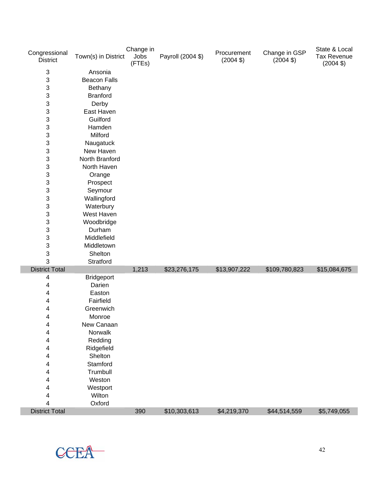| Congressional<br><b>District</b> | Town(s) in District | Change in<br>Jobs<br>(FTEs) | Payroll (2004 \$) | Procurement<br>$(2004 \text{ } $)$ | Change in GSP<br>$(2004 \text{ } $)$ | State & Local<br><b>Tax Revenue</b><br>$(2004 \text{ } $)$ |
|----------------------------------|---------------------|-----------------------------|-------------------|------------------------------------|--------------------------------------|------------------------------------------------------------|
| 3                                | Ansonia             |                             |                   |                                    |                                      |                                                            |
| 3                                | <b>Beacon Falls</b> |                             |                   |                                    |                                      |                                                            |
| 3                                | Bethany             |                             |                   |                                    |                                      |                                                            |
| 3                                | <b>Branford</b>     |                             |                   |                                    |                                      |                                                            |
| $\mathbf{3}$                     | Derby               |                             |                   |                                    |                                      |                                                            |
| 3                                | East Haven          |                             |                   |                                    |                                      |                                                            |
| 3                                | Guilford            |                             |                   |                                    |                                      |                                                            |
| 3                                | Hamden              |                             |                   |                                    |                                      |                                                            |
| 3                                | Milford             |                             |                   |                                    |                                      |                                                            |
| $\ensuremath{\mathsf{3}}$        | Naugatuck           |                             |                   |                                    |                                      |                                                            |
| 3                                | New Haven           |                             |                   |                                    |                                      |                                                            |
| 3                                | North Branford      |                             |                   |                                    |                                      |                                                            |
| 3                                | North Haven         |                             |                   |                                    |                                      |                                                            |
| 3                                | Orange              |                             |                   |                                    |                                      |                                                            |
| 3                                | Prospect            |                             |                   |                                    |                                      |                                                            |
| 3                                | Seymour             |                             |                   |                                    |                                      |                                                            |
| 3                                | Wallingford         |                             |                   |                                    |                                      |                                                            |
| $\ensuremath{\mathsf{3}}$        | Waterbury           |                             |                   |                                    |                                      |                                                            |
| 3                                | West Haven          |                             |                   |                                    |                                      |                                                            |
| 3                                | Woodbridge          |                             |                   |                                    |                                      |                                                            |
| 3                                | Durham              |                             |                   |                                    |                                      |                                                            |
| $\ensuremath{\mathsf{3}}$        | Middlefield         |                             |                   |                                    |                                      |                                                            |
| 3                                | Middletown          |                             |                   |                                    |                                      |                                                            |
| 3                                | Shelton             |                             |                   |                                    |                                      |                                                            |
| 3                                | Stratford           |                             |                   |                                    |                                      |                                                            |
| <b>District Total</b>            |                     | 1,213                       | \$23,276,175      | \$13,907,222                       | \$109,780,823                        | \$15,084,675                                               |
| 4                                | <b>Bridgeport</b>   |                             |                   |                                    |                                      |                                                            |
| 4                                | Darien              |                             |                   |                                    |                                      |                                                            |
| 4                                | Easton              |                             |                   |                                    |                                      |                                                            |
| 4                                | Fairfield           |                             |                   |                                    |                                      |                                                            |
| 4<br>4                           | Greenwich<br>Monroe |                             |                   |                                    |                                      |                                                            |
|                                  | New Canaan          |                             |                   |                                    |                                      |                                                            |
| 4<br>4                           | Norwalk             |                             |                   |                                    |                                      |                                                            |
| 4                                | Redding             |                             |                   |                                    |                                      |                                                            |
| 4                                | Ridgefield          |                             |                   |                                    |                                      |                                                            |
| 4                                | Shelton             |                             |                   |                                    |                                      |                                                            |
| 4                                | Stamford            |                             |                   |                                    |                                      |                                                            |
| 4                                | Trumbull            |                             |                   |                                    |                                      |                                                            |
| 4                                | Weston              |                             |                   |                                    |                                      |                                                            |
| 4                                | Westport            |                             |                   |                                    |                                      |                                                            |
| 4                                | Wilton              |                             |                   |                                    |                                      |                                                            |
| 4                                | Oxford              |                             |                   |                                    |                                      |                                                            |
| <b>District Total</b>            |                     | 390                         | \$10,303,613      | \$4,219,370                        | \$44,514,559                         | \$5,749,055                                                |

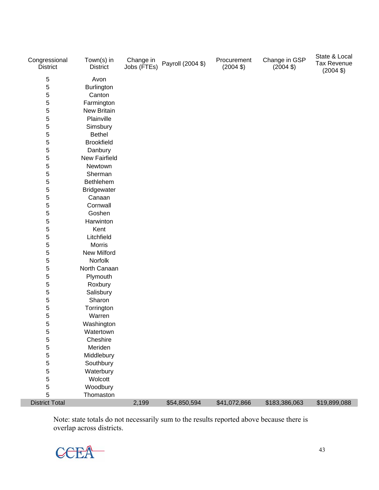| Congressional<br><b>District</b> | Town(s) in<br><b>District</b> | Change in<br>Jobs (FTEs) | Payroll (2004 \$) | Procurement<br>$(2004 \text{ } $)$ | Change in GSP<br>$(2004 \text{ } $)$ | State & Local<br><b>Tax Revenue</b><br>$(2004 \text{ } $)$ |
|----------------------------------|-------------------------------|--------------------------|-------------------|------------------------------------|--------------------------------------|------------------------------------------------------------|
| $\sqrt{5}$                       | Avon                          |                          |                   |                                    |                                      |                                                            |
| 5                                | <b>Burlington</b>             |                          |                   |                                    |                                      |                                                            |
| 5                                | Canton                        |                          |                   |                                    |                                      |                                                            |
| 5                                | Farmington                    |                          |                   |                                    |                                      |                                                            |
| 5                                | New Britain                   |                          |                   |                                    |                                      |                                                            |
| 5                                | Plainville                    |                          |                   |                                    |                                      |                                                            |
| 5                                | Simsbury                      |                          |                   |                                    |                                      |                                                            |
| 5                                | <b>Bethel</b>                 |                          |                   |                                    |                                      |                                                            |
| 5                                | <b>Brookfield</b>             |                          |                   |                                    |                                      |                                                            |
| 5                                | Danbury                       |                          |                   |                                    |                                      |                                                            |
| 5                                | <b>New Fairfield</b>          |                          |                   |                                    |                                      |                                                            |
| 5                                | Newtown                       |                          |                   |                                    |                                      |                                                            |
| 5                                | Sherman                       |                          |                   |                                    |                                      |                                                            |
| 5                                | Bethlehem                     |                          |                   |                                    |                                      |                                                            |
| 5                                | Bridgewater                   |                          |                   |                                    |                                      |                                                            |
| 5                                | Canaan                        |                          |                   |                                    |                                      |                                                            |
| 5                                | Cornwall                      |                          |                   |                                    |                                      |                                                            |
| 5                                | Goshen                        |                          |                   |                                    |                                      |                                                            |
| 5                                | Harwinton                     |                          |                   |                                    |                                      |                                                            |
| 5                                | Kent                          |                          |                   |                                    |                                      |                                                            |
| 5                                | Litchfield                    |                          |                   |                                    |                                      |                                                            |
| 5                                | Morris                        |                          |                   |                                    |                                      |                                                            |
| 5                                | <b>New Milford</b>            |                          |                   |                                    |                                      |                                                            |
| 5                                | Norfolk                       |                          |                   |                                    |                                      |                                                            |
| 5                                | North Canaan                  |                          |                   |                                    |                                      |                                                            |
| 5                                | Plymouth                      |                          |                   |                                    |                                      |                                                            |
| 5                                | Roxbury                       |                          |                   |                                    |                                      |                                                            |
| 5                                | Salisbury                     |                          |                   |                                    |                                      |                                                            |
| 5                                | Sharon                        |                          |                   |                                    |                                      |                                                            |
| 5                                | Torrington                    |                          |                   |                                    |                                      |                                                            |
| 5                                | Warren                        |                          |                   |                                    |                                      |                                                            |
| 5                                | Washington                    |                          |                   |                                    |                                      |                                                            |
| 5                                | Watertown                     |                          |                   |                                    |                                      |                                                            |
| 5                                | Cheshire                      |                          |                   |                                    |                                      |                                                            |
| 5                                | Meriden                       |                          |                   |                                    |                                      |                                                            |
| 5                                | Middlebury                    |                          |                   |                                    |                                      |                                                            |
| 5                                | Southbury                     |                          |                   |                                    |                                      |                                                            |
| 5                                | Waterbury                     |                          |                   |                                    |                                      |                                                            |
| 5                                | Wolcott                       |                          |                   |                                    |                                      |                                                            |
| 5                                | Woodbury                      |                          |                   |                                    |                                      |                                                            |
| 5                                | Thomaston                     |                          |                   |                                    |                                      |                                                            |
| <b>District Total</b>            |                               | 2,199                    | \$54,850,594      | \$41,072,866                       | \$183,386,063                        | \$19,899,088                                               |

Note: state totals do not necessarily sum to the results reported above because there is overlap across districts.



T.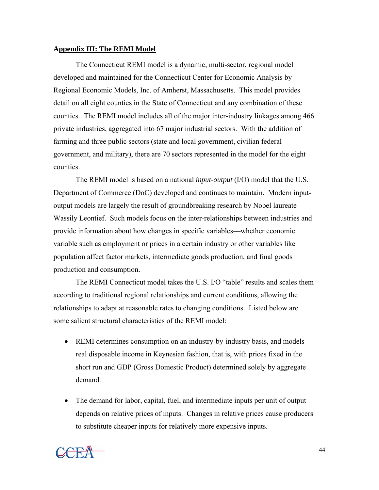# **Appendix III: The REMI Model**

The Connecticut REMI model is a dynamic, multi-sector, regional model developed and maintained for the Connecticut Center for Economic Analysis by Regional Economic Models, Inc. of Amherst, Massachusetts. This model provides detail on all eight counties in the State of Connecticut and any combination of these counties. The REMI model includes all of the major inter-industry linkages among 466 private industries, aggregated into 67 major industrial sectors. With the addition of farming and three public sectors (state and local government, civilian federal government, and military), there are 70 sectors represented in the model for the eight counties.

The REMI model is based on a national *input-output* (I/O) model that the U.S. Department of Commerce (DoC) developed and continues to maintain. Modern inputoutput models are largely the result of groundbreaking research by Nobel laureate Wassily Leontief. Such models focus on the inter-relationships between industries and provide information about how changes in specific variables—whether economic variable such as employment or prices in a certain industry or other variables like population affect factor markets, intermediate goods production, and final goods production and consumption.

The REMI Connecticut model takes the U.S. I/O "table" results and scales them according to traditional regional relationships and current conditions, allowing the relationships to adapt at reasonable rates to changing conditions. Listed below are some salient structural characteristics of the REMI model:

- REMI determines consumption on an industry-by-industry basis, and models real disposable income in Keynesian fashion, that is, with prices fixed in the short run and GDP (Gross Domestic Product) determined solely by aggregate demand.
- The demand for labor, capital, fuel, and intermediate inputs per unit of output depends on relative prices of inputs. Changes in relative prices cause producers to substitute cheaper inputs for relatively more expensive inputs.

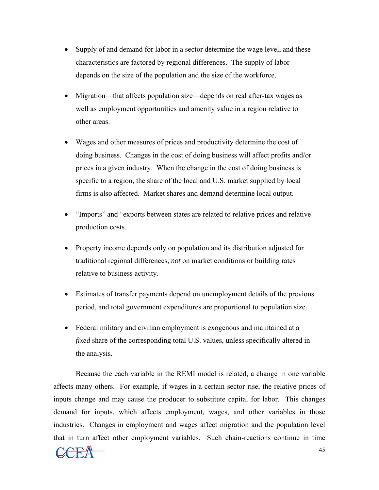- Supply of and demand for labor in a sector determine the wage level, and these characteristics are factored by regional differences. The supply of labor depends on the size of the population and the size of the workforce.
- Migration—that affects population size—depends on real after-tax wages as well as employment opportunities and amenity value in a region relative to other areas.
- Wages and other measures of prices and productivity determine the cost of doing business. Changes in the cost of doing business will affect profits and/or prices in a given industry. When the change in the cost of doing business is specific to a region, the share of the local and U.S. market supplied by local firms is also affected. Market shares and demand determine local output.
- "Imports" and "exports between states are related to relative prices and relative production costs.
- Property income depends only on population and its distribution adjusted for traditional regional differences, *not* on market conditions or building rates relative to business activity.
- Estimates of transfer payments depend on unemployment details of the previous period, and total government expenditures are proportional to population size.
- Federal military and civilian employment is exogenous and maintained at a *fixed* share of the corresponding total U.S. values, unless specifically altered in the analysis.

Because the each variable in the REMI model is related, a change in one variable affects many others. For example, if wages in a certain sector rise, the relative prices of inputs change and may cause the producer to substitute capital for labor. This changes demand for inputs, which affects employment, wages, and other variables in those industries. Changes in employment and wages affect migration and the population level that in turn affect other employment variables. Such chain-reactions continue in time

$$
\mathbf{CCEA} \qquad \qquad ^{45}
$$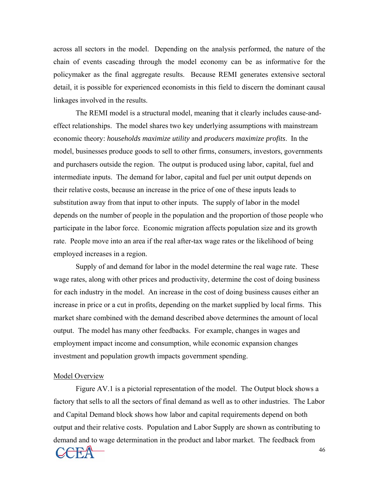across all sectors in the model. Depending on the analysis performed, the nature of the chain of events cascading through the model economy can be as informative for the policymaker as the final aggregate results. Because REMI generates extensive sectoral detail, it is possible for experienced economists in this field to discern the dominant causal linkages involved in the results.

The REMI model is a structural model, meaning that it clearly includes cause-andeffect relationships. The model shares two key underlying assumptions with mainstream economic theory: *households maximize utility* and *producers maximize profits*. In the model, businesses produce goods to sell to other firms, consumers, investors, governments and purchasers outside the region. The output is produced using labor, capital, fuel and intermediate inputs. The demand for labor, capital and fuel per unit output depends on their relative costs, because an increase in the price of one of these inputs leads to substitution away from that input to other inputs. The supply of labor in the model depends on the number of people in the population and the proportion of those people who participate in the labor force. Economic migration affects population size and its growth rate. People move into an area if the real after-tax wage rates or the likelihood of being employed increases in a region.

Supply of and demand for labor in the model determine the real wage rate. These wage rates, along with other prices and productivity, determine the cost of doing business for each industry in the model. An increase in the cost of doing business causes either an increase in price or a cut in profits, depending on the market supplied by local firms. This market share combined with the demand described above determines the amount of local output. The model has many other feedbacks. For example, changes in wages and employment impact income and consumption, while economic expansion changes investment and population growth impacts government spending.

#### Model Overview

Figure AV.1 is a pictorial representation of the model. The Output block shows a factory that sells to all the sectors of final demand as well as to other industries. The Labor and Capital Demand block shows how labor and capital requirements depend on both output and their relative costs. Population and Labor Supply are shown as contributing to demand and to wage determination in the product and labor market. The feedback from

$$
\mathbf{CCEA} \qquad \qquad ^{46}
$$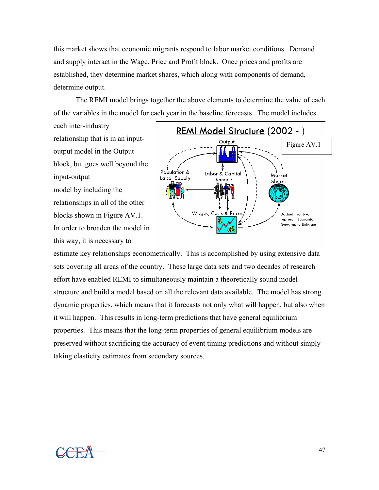this market shows that economic migrants respond to labor market conditions. Demand and supply interact in the Wage, Price and Profit block. Once prices and profits are established, they determine market shares, which along with components of demand, determine output.

The REMI model brings together the above elements to determine the value of each of the variables in the model for each year in the baseline forecasts. The model includes

each inter-industry relationship that is in an inputoutput model in the Output block, but goes well beyond the input-output model by including the relationships in all of the other blocks shown in Figure AV.1. In order to broaden the model in this way, it is necessary to



estimate key relationships econometrically. This is accomplished by using extensive data sets covering all areas of the country. These large data sets and two decades of research effort have enabled REMI to simultaneously maintain a theoretically sound model structure and build a model based on all the relevant data available. The model has strong dynamic properties, which means that it forecasts not only what will happen, but also when it will happen. This results in long-term predictions that have general equilibrium properties. This means that the long-term properties of general equilibrium models are preserved without sacrificing the accuracy of event timing predictions and without simply taking elasticity estimates from secondary sources.

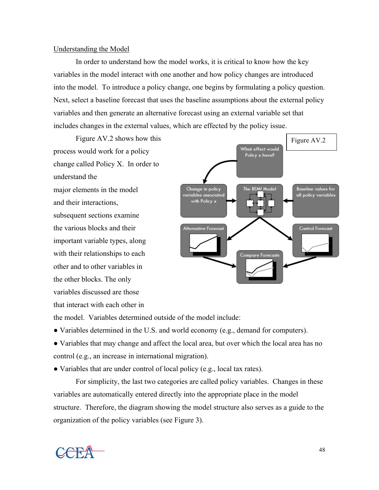### Understanding the Model

In order to understand how the model works, it is critical to know how the key variables in the model interact with one another and how policy changes are introduced into the model. To introduce a policy change, one begins by formulating a policy question. Next, select a baseline forecast that uses the baseline assumptions about the external policy variables and then generate an alternative forecast using an external variable set that includes changes in the external values, which are effected by the policy issue.

Figure AV.2 shows how this process would work for a policy change called Policy X. In order to understand the major elements in the model and their interactions, subsequent sections examine the various blocks and their important variable types, along with their relationships to each other and to other variables in the other blocks. The only variables discussed are those that interact with each other in



the model. Variables determined outside of the model include:

● Variables determined in the U.S. and world economy (e.g., demand for computers).

• Variables that may change and affect the local area, but over which the local area has no control (e.g., an increase in international migration).

• Variables that are under control of local policy (e.g., local tax rates).

 For simplicity, the last two categories are called policy variables. Changes in these variables are automatically entered directly into the appropriate place in the model structure. Therefore, the diagram showing the model structure also serves as a guide to the organization of the policy variables (see Figure 3).

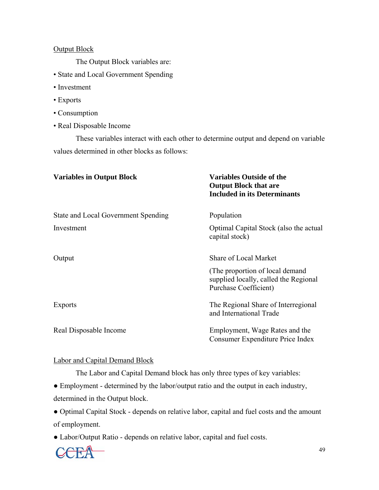# Output Block

The Output Block variables are:

- State and Local Government Spending
- Investment
- Exports
- Consumption
- Real Disposable Income

These variables interact with each other to determine output and depend on variable values determined in other blocks as follows:

| <b>Variables in Output Block</b>    | <b>Variables Outside of the</b><br><b>Output Block that are</b><br><b>Included in its Determinants</b> |
|-------------------------------------|--------------------------------------------------------------------------------------------------------|
| State and Local Government Spending | Population                                                                                             |
| Investment                          | Optimal Capital Stock (also the actual<br>capital stock)                                               |
| Output                              | <b>Share of Local Market</b>                                                                           |
|                                     | (The proportion of local demand)<br>supplied locally, called the Regional<br>Purchase Coefficient)     |
| <b>Exports</b>                      | The Regional Share of Interregional<br>and International Trade                                         |
| Real Disposable Income              | Employment, Wage Rates and the<br>Consumer Expenditure Price Index                                     |

# Labor and Capital Demand Block

The Labor and Capital Demand block has only three types of key variables:

● Employment - determined by the labor/output ratio and the output in each industry, determined in the Output block.

● Optimal Capital Stock - depends on relative labor, capital and fuel costs and the amount of employment.

● Labor/Output Ratio - depends on relative labor, capital and fuel costs.

$$
\mathbf{C}\mathbf{E}\mathbf{A} \tag{49}
$$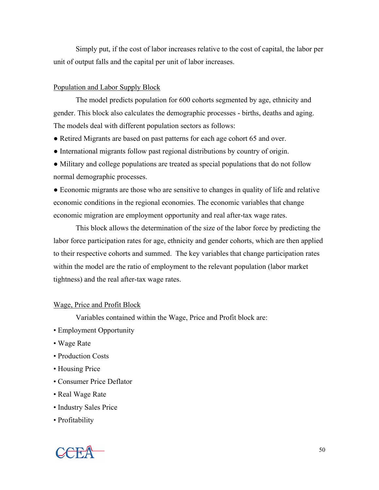Simply put, if the cost of labor increases relative to the cost of capital, the labor per unit of output falls and the capital per unit of labor increases.

# Population and Labor Supply Block

The model predicts population for 600 cohorts segmented by age, ethnicity and gender. This block also calculates the demographic processes - births, deaths and aging. The models deal with different population sectors as follows:

- Retired Migrants are based on past patterns for each age cohort 65 and over.
- International migrants follow past regional distributions by country of origin.
- Military and college populations are treated as special populations that do not follow normal demographic processes.

● Economic migrants are those who are sensitive to changes in quality of life and relative economic conditions in the regional economies. The economic variables that change economic migration are employment opportunity and real after-tax wage rates.

This block allows the determination of the size of the labor force by predicting the labor force participation rates for age, ethnicity and gender cohorts, which are then applied to their respective cohorts and summed. The key variables that change participation rates within the model are the ratio of employment to the relevant population (labor market tightness) and the real after-tax wage rates.

## Wage, Price and Profit Block

Variables contained within the Wage, Price and Profit block are:

- Employment Opportunity
- Wage Rate
- Production Costs
- Housing Price
- Consumer Price Deflator
- Real Wage Rate
- Industry Sales Price
- Profitability

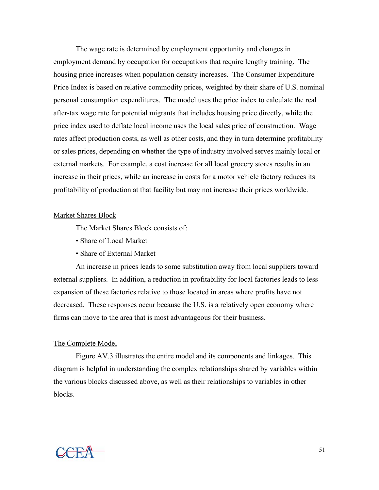The wage rate is determined by employment opportunity and changes in employment demand by occupation for occupations that require lengthy training. The housing price increases when population density increases. The Consumer Expenditure Price Index is based on relative commodity prices, weighted by their share of U.S. nominal personal consumption expenditures. The model uses the price index to calculate the real after-tax wage rate for potential migrants that includes housing price directly, while the price index used to deflate local income uses the local sales price of construction. Wage rates affect production costs, as well as other costs, and they in turn determine profitability or sales prices, depending on whether the type of industry involved serves mainly local or external markets. For example, a cost increase for all local grocery stores results in an increase in their prices, while an increase in costs for a motor vehicle factory reduces its profitability of production at that facility but may not increase their prices worldwide.

#### Market Shares Block

The Market Shares Block consists of:

- Share of Local Market
- Share of External Market

An increase in prices leads to some substitution away from local suppliers toward external suppliers. In addition, a reduction in profitability for local factories leads to less expansion of these factories relative to those located in areas where profits have not decreased. These responses occur because the U.S. is a relatively open economy where firms can move to the area that is most advantageous for their business.

#### The Complete Model

Figure AV.3 illustrates the entire model and its components and linkages. This diagram is helpful in understanding the complex relationships shared by variables within the various blocks discussed above, as well as their relationships to variables in other blocks.